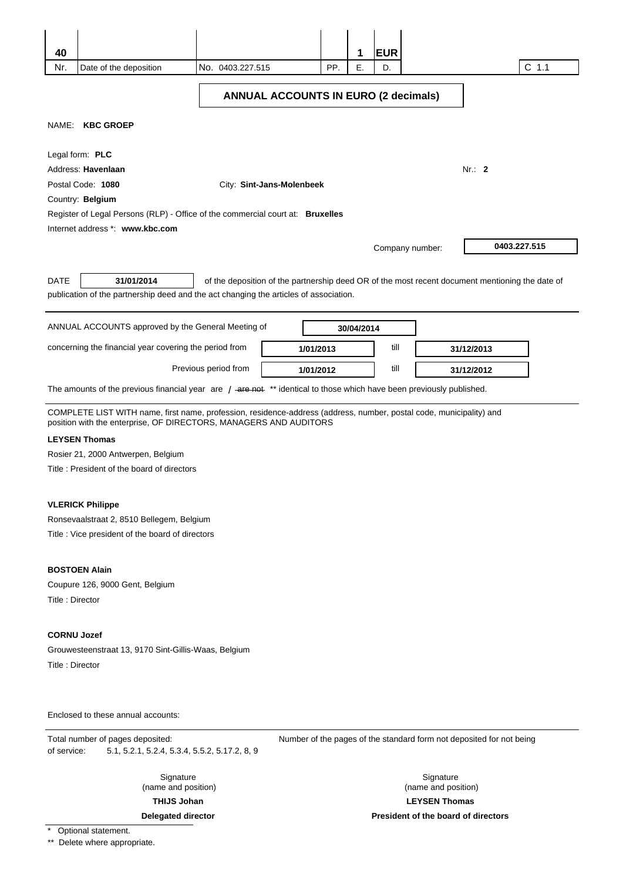| 40                                                                                                                                                                                       |                      |                                             |     | 1          | <b>EUR</b>      |                                                                                                 |         |
|------------------------------------------------------------------------------------------------------------------------------------------------------------------------------------------|----------------------|---------------------------------------------|-----|------------|-----------------|-------------------------------------------------------------------------------------------------|---------|
| Nr.<br>Date of the deposition                                                                                                                                                            | No. 0403.227.515     |                                             | PP. | Ε.         | D.              |                                                                                                 | $C$ 1.1 |
|                                                                                                                                                                                          |                      | <b>ANNUAL ACCOUNTS IN EURO (2 decimals)</b> |     |            |                 |                                                                                                 |         |
| NAME: KBC GROEP                                                                                                                                                                          |                      |                                             |     |            |                 |                                                                                                 |         |
| Legal form: PLC                                                                                                                                                                          |                      |                                             |     |            |                 |                                                                                                 |         |
| Address: Havenlaan                                                                                                                                                                       |                      |                                             |     |            |                 | Nr.: $2$                                                                                        |         |
| Postal Code: 1080                                                                                                                                                                        |                      | City: Sint-Jans-Molenbeek                   |     |            |                 |                                                                                                 |         |
| Country: Belgium                                                                                                                                                                         |                      |                                             |     |            |                 |                                                                                                 |         |
| Register of Legal Persons (RLP) - Office of the commercial court at: Bruxelles<br>Internet address *: www.kbc.com                                                                        |                      |                                             |     |            |                 |                                                                                                 |         |
|                                                                                                                                                                                          |                      |                                             |     |            |                 |                                                                                                 |         |
|                                                                                                                                                                                          |                      |                                             |     |            | Company number: | 0403.227.515                                                                                    |         |
| 31/01/2014<br><b>DATE</b><br>publication of the partnership deed and the act changing the articles of association.                                                                       |                      |                                             |     |            |                 | of the deposition of the partnership deed OR of the most recent document mentioning the date of |         |
| ANNUAL ACCOUNTS approved by the General Meeting of                                                                                                                                       |                      |                                             |     | 30/04/2014 |                 |                                                                                                 |         |
| concerning the financial year covering the period from                                                                                                                                   |                      | 1/01/2013                                   |     |            | till            | 31/12/2013                                                                                      |         |
|                                                                                                                                                                                          | Previous period from | 1/01/2012                                   |     |            | till            | 31/12/2012                                                                                      |         |
| The amounts of the previous financial year are $/$ -are net $*$ identical to those which have been previously published.                                                                 |                      |                                             |     |            |                 |                                                                                                 |         |
| COMPLETE LIST WITH name, first name, profession, residence-address (address, number, postal code, municipality) and<br>position with the enterprise, OF DIRECTORS, MANAGERS AND AUDITORS |                      |                                             |     |            |                 |                                                                                                 |         |
| <b>LEYSEN Thomas</b>                                                                                                                                                                     |                      |                                             |     |            |                 |                                                                                                 |         |
| Rosier 21, 2000 Antwerpen, Belgium                                                                                                                                                       |                      |                                             |     |            |                 |                                                                                                 |         |
| Title: President of the board of directors                                                                                                                                               |                      |                                             |     |            |                 |                                                                                                 |         |
|                                                                                                                                                                                          |                      |                                             |     |            |                 |                                                                                                 |         |
| <b>VLERICK Philippe</b>                                                                                                                                                                  |                      |                                             |     |            |                 |                                                                                                 |         |
| Ronsevaalstraat 2, 8510 Bellegem, Belgium<br>Title : Vice president of the board of directors                                                                                            |                      |                                             |     |            |                 |                                                                                                 |         |
|                                                                                                                                                                                          |                      |                                             |     |            |                 |                                                                                                 |         |
| <b>BOSTOEN Alain</b>                                                                                                                                                                     |                      |                                             |     |            |                 |                                                                                                 |         |
| Coupure 126, 9000 Gent, Belgium                                                                                                                                                          |                      |                                             |     |            |                 |                                                                                                 |         |
| Title: Director                                                                                                                                                                          |                      |                                             |     |            |                 |                                                                                                 |         |
| <b>CORNU Jozef</b>                                                                                                                                                                       |                      |                                             |     |            |                 |                                                                                                 |         |
| Grouwesteenstraat 13, 9170 Sint-Gillis-Waas, Belgium                                                                                                                                     |                      |                                             |     |            |                 |                                                                                                 |         |
| Title: Director                                                                                                                                                                          |                      |                                             |     |            |                 |                                                                                                 |         |
|                                                                                                                                                                                          |                      |                                             |     |            |                 |                                                                                                 |         |
| Enclosed to these annual accounts:                                                                                                                                                       |                      |                                             |     |            |                 |                                                                                                 |         |
| Total number of pages deposited:<br>5.1, 5.2.1, 5.2.4, 5.3.4, 5.5.2, 5.17.2, 8, 9<br>of service:                                                                                         |                      |                                             |     |            |                 | Number of the pages of the standard form not deposited for not being                            |         |

Signature (name and position)

**THIJS Johan** 

**Delegated director** 

\* Optional statement.

\*\* Delete where appropriate.

# **President of the board of directors**

Signature (name and position)

**LEYSEN Thomas**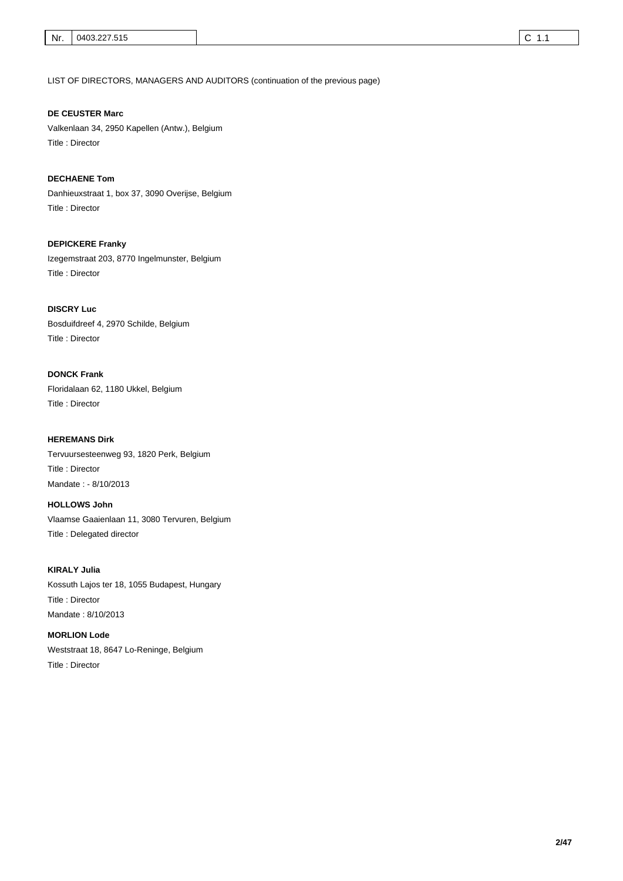LIST OF DIRECTORS, MANAGERS AND AUDITORS (continuation of the previous page)

Valkenlaan 34, 2950 Kapellen (Antw.), Belgium **DE CEUSTER Marc** 

Title : Director

Danhieuxstraat 1, box 37, 3090 Overijse, Belgium Title : Director **DECHAENE Tom** 

Izegemstraat 203, 8770 Ingelmunster, Belgium Title : Director **DEPICKERE Franky** 

Bosduifdreef 4, 2970 Schilde, Belgium Title : Director **DISCRY Luc** 

Floridalaan 62, 1180 Ukkel, Belgium Title : Director **DONCK Frank** 

Tervuursesteenweg 93, 1820 Perk, Belgium Title : Director **HEREMANS Dirk**  Mandate : - 8/10/2013

Vlaamse Gaaienlaan 11, 3080 Tervuren, Belgium Title : Delegated director **HOLLOWS John** 

Kossuth Lajos ter 18, 1055 Budapest, Hungary Title : Director **KIRALY Julia**  Mandate : 8/10/2013

Weststraat 18, 8647 Lo-Reninge, Belgium Title : Director **MORLION Lode**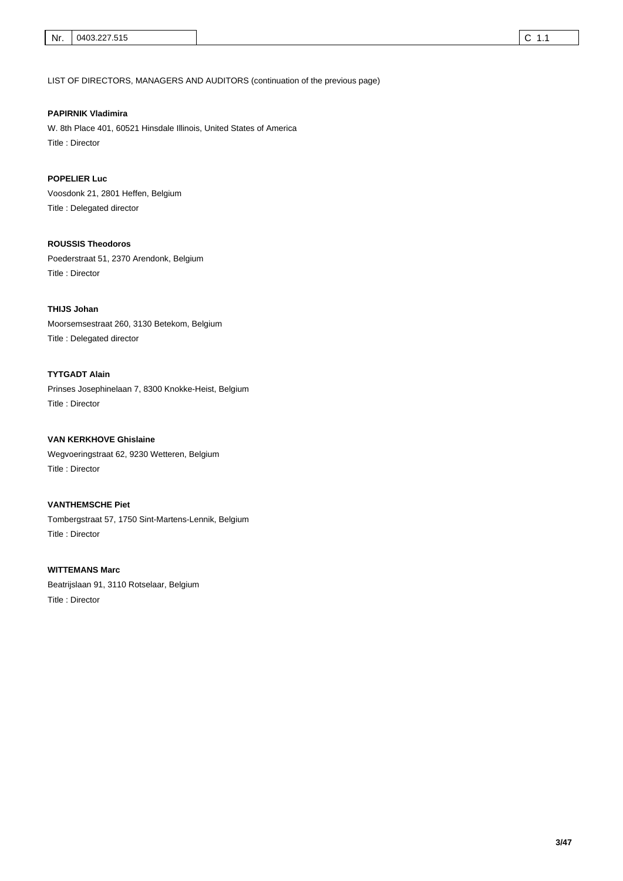LIST OF DIRECTORS, MANAGERS AND AUDITORS (continuation of the previous page)

#### **PAPIRNIK Vladimira**

W. 8th Place 401, 60521 Hinsdale Illinois, United States of America Title : Director

# **POPELIER Luc**

Voosdonk 21, 2801 Heffen, Belgium Title : Delegated director

# **ROUSSIS Theodoros**

Poederstraat 51, 2370 Arendonk, Belgium Title : Director

#### **THIJS Johan**

Moorsemsestraat 260, 3130 Betekom, Belgium Title : Delegated director

# **TYTGADT Alain**

Prinses Josephinelaan 7, 8300 Knokke-Heist, Belgium Title : Director

Wegvoeringstraat 62, 9230 Wetteren, Belgium Title : Director **VAN KERKHOVE Ghislaine** 

#### **VANTHEMSCHE Piet**

Tombergstraat 57, 1750 Sint-Martens-Lennik, Belgium Title : Director

#### **WITTEMANS Marc**

Beatrijslaan 91, 3110 Rotselaar, Belgium Title : Director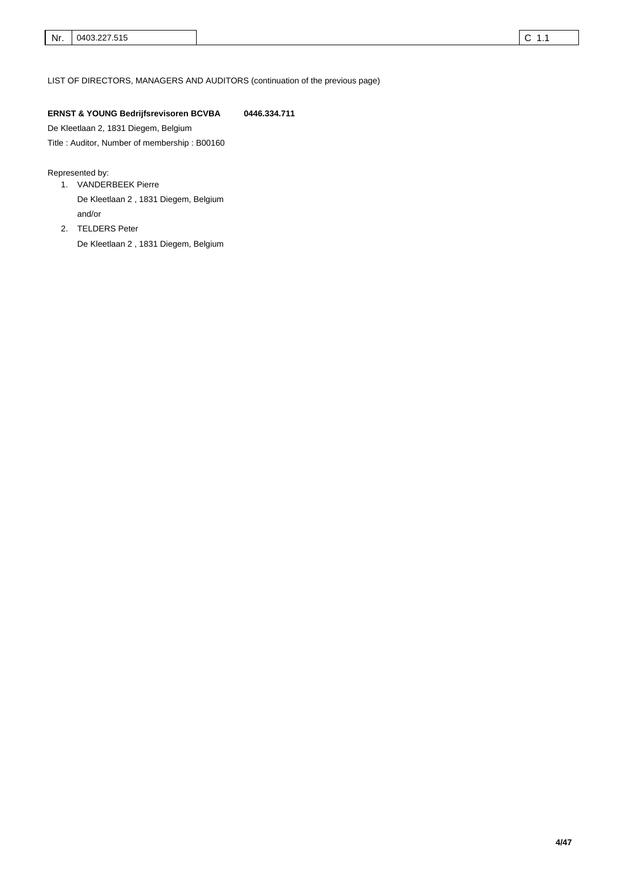LIST OF DIRECTORS, MANAGERS AND AUDITORS (continuation of the previous page)

# **ERNST & YOUNG Bedrijfsrevisoren BCVBA 0446.334.711**

De Kleetlaan 2, 1831 Diegem, Belgium

Title : Auditor, Number of membership : B00160

#### Represented by:

- VANDERBEEK Pierre 1. and/or De Kleetlaan 2 , 1831 Diegem, Belgium
- 2. TELDERS Peter
	- De Kleetlaan 2 , 1831 Diegem, Belgium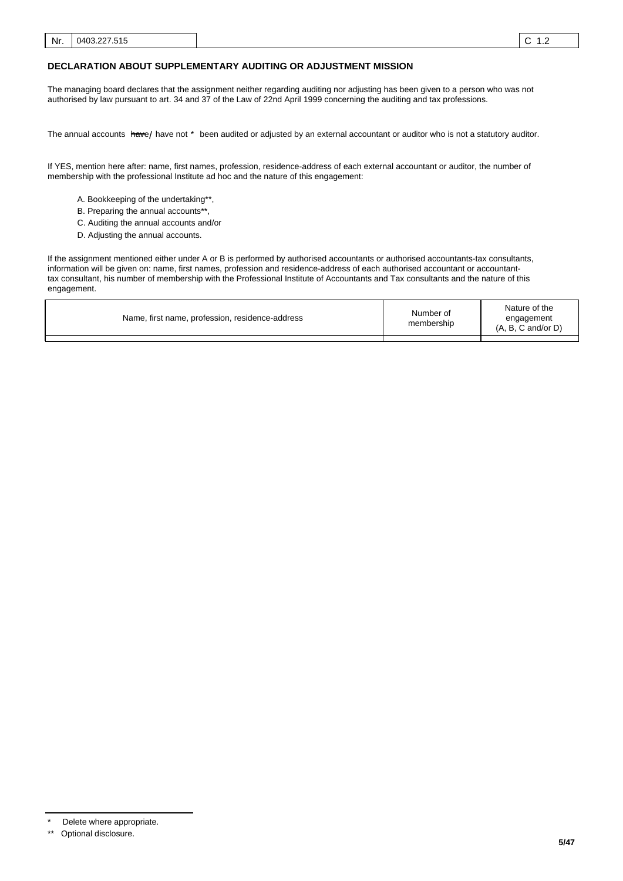#### **DECLARATION ABOUT SUPPLEMENTARY AUDITING OR ADJUSTMENT MISSION**

The managing board declares that the assignment neither regarding auditing nor adjusting has been given to a person who was not authorised by law pursuant to art. 34 and 37 of the Law of 22nd April 1999 concerning the auditing and tax professions.

The annual accounts <del>hav</del>e/ have not \* been audited or adjusted by an external accountant or auditor who is not a statutory auditor.

If YES, mention here after: name, first names, profession, residence-address of each external accountant or auditor, the number of membership with the professional Institute ad hoc and the nature of this engagement:

- A. Bookkeeping of the undertaking\*\*,
- B. Preparing the annual accounts\*\*
- C. Auditing the annual accounts and/or
- D. Adjusting the annual accounts.

If the assignment mentioned either under A or B is performed by authorised accountants or authorised accountants-tax consultants, information will be given on: name, first names, profession and residence-address of each authorised accountant or accountanttax consultant, his number of membership with the Professional Institute of Accountants and Tax consultants and the nature of this engagement.

| Name, first name, profession, residence-address | Number of<br>membership | Nature of the<br>engagement<br>$(A, B, C \text{ and/or } D)$ |
|-------------------------------------------------|-------------------------|--------------------------------------------------------------|
|                                                 |                         |                                                              |

Delete where appropriate.

<sup>\*\*</sup> Optional disclosure.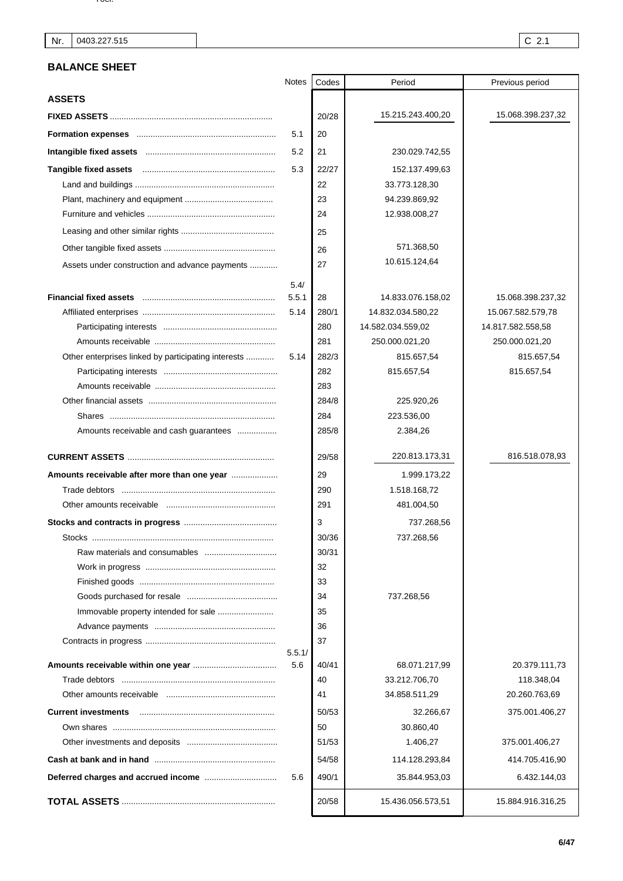# **BALANCE SHEET**

|                                                     | <b>Notes</b> | Codes | Period            | Previous period   |
|-----------------------------------------------------|--------------|-------|-------------------|-------------------|
| <b>ASSETS</b>                                       |              |       |                   |                   |
|                                                     |              | 20/28 | 15.215.243.400,20 | 15.068.398.237,32 |
|                                                     | 5.1          | 20    |                   |                   |
|                                                     | 5.2          | 21    | 230.029.742,55    |                   |
|                                                     | 5.3          | 22/27 | 152.137.499,63    |                   |
|                                                     |              | 22    | 33.773.128,30     |                   |
|                                                     |              | 23    | 94.239.869,92     |                   |
|                                                     |              | 24    | 12.938.008,27     |                   |
|                                                     |              | 25    |                   |                   |
|                                                     |              | 26    | 571.368,50        |                   |
| Assets under construction and advance payments      |              | 27    | 10.615.124,64     |                   |
|                                                     | 5.4/         |       |                   |                   |
|                                                     | 5.5.1        | 28    | 14.833.076.158,02 | 15.068.398.237,32 |
|                                                     | 5.14         | 280/1 | 14.832.034.580,22 | 15.067.582.579,78 |
|                                                     |              | 280   | 14.582.034.559,02 | 14.817.582.558,58 |
|                                                     |              | 281   | 250.000.021,20    | 250.000.021,20    |
| Other enterprises linked by participating interests | 5.14         | 282/3 | 815.657,54        | 815.657,54        |
|                                                     |              | 282   | 815.657,54        | 815.657,54        |
|                                                     |              | 283   |                   |                   |
|                                                     |              | 284/8 | 225.920,26        |                   |
|                                                     |              | 284   | 223.536,00        |                   |
| Amounts receivable and cash guarantees              |              | 285/8 | 2.384,26          |                   |
|                                                     |              | 29/58 | 220.813.173,31    | 816.518.078,93    |
| Amounts receivable after more than one year         |              | 29    | 1.999.173,22      |                   |
|                                                     |              | 290   | 1.518.168,72      |                   |
|                                                     |              | 291   | 481.004,50        |                   |
|                                                     |              | 3     | 737.268,56        |                   |
|                                                     |              | 30/36 | 737.268,56        |                   |
|                                                     |              | 30/31 |                   |                   |
|                                                     |              | 32    |                   |                   |
|                                                     |              | 33    |                   |                   |
|                                                     |              | 34    | 737.268,56        |                   |
|                                                     |              | 35    |                   |                   |
|                                                     |              | 36    |                   |                   |
|                                                     | 5.5.1/       | 37    |                   |                   |
|                                                     | 5.6          | 40/41 | 68.071.217,99     | 20.379.111,73     |
|                                                     |              | 40    | 33.212.706,70     | 118.348,04        |
|                                                     |              | 41    | 34.858.511,29     | 20.260.763,69     |
| <b>Current investments</b>                          |              | 50/53 | 32.266,67         | 375.001.406,27    |
|                                                     |              | 50    | 30.860,40         |                   |
|                                                     |              | 51/53 | 1.406,27          | 375.001.406,27    |
|                                                     |              | 54/58 | 114.128.293,84    | 414.705.416,90    |
|                                                     | 5.6          | 490/1 | 35.844.953,03     | 6.432.144,03      |
|                                                     |              | 20/58 | 15.436.056.573,51 | 15.884.916.316,25 |
|                                                     |              |       |                   |                   |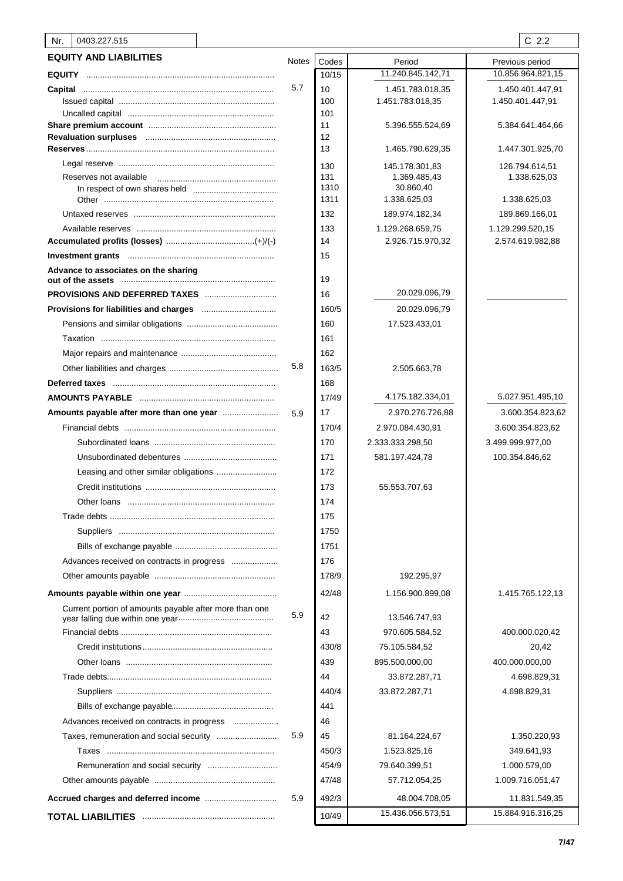# Nr. 0403.227.515 C 2.2

| 11.240.845.142,71<br>10.856.964.821,15<br>10/15<br>5.7<br>10<br>1.451.783.018,35<br>1.450.401.447,91<br>1.451.783.018,35<br>1.450.401.447,91<br>100<br>101<br>11<br>5.396.555.524,69<br>5.384.641.464,66<br>12<br>13<br>1.465.790.629,35<br>1.447.301.925,70<br>130<br>145.178.301,83<br>126.794.614,51<br>131<br>Reserves not available<br>1.369.485,43<br>1.338.625,03<br>1310<br>30.860,40<br>1311<br>1.338.625,03<br>1.338.625,03<br>132<br>189.974.182,34<br>189.869.166,01<br>133<br>1.129.268.659,75<br>1.129.299.520,15<br>14<br>2.926.715.970,32<br>2.574.619.982,88<br>15<br>Advance to associates on the sharing<br>19<br>20.029.096,79<br><b>PROVISIONS AND DEFERRED TAXES</b><br>16<br>160/5<br>20.029.096,79<br>160<br>17.523.433,01<br>161<br>162<br>5.8<br>163/5<br>2.505.663,78<br>168<br>4.175.182.334,01<br>5.027.951.495,10<br>17/49<br>17<br>2.970.276.726,88<br>3.600.354.823,62<br>5.9<br>170/4<br>2.970.084.430,91<br>3.600.354.823,62<br>170<br>2.333.333.298,50<br>3.499.999.977,00<br>171<br>581.197.424,78<br>100.354.846,62<br>172<br>173<br>55.553.707,63<br>174<br>175<br>1750<br>1751<br>176<br>178/9<br>192.295,97<br>42/48<br>1.156.900.899,08<br>1.415.765.122,13<br>Current portion of amounts payable after more than one<br>5.9<br>42<br>13.546.747,93<br>43<br>970.605.584,52<br>400.000.020,42<br>430/8<br>75.105.584,52<br>20,42<br>439<br>895.500.000,00<br>400.000.000,00<br>44<br>33.872.287,71<br>4.698.829,31<br>440/4<br>33.872.287,71<br>4.698.829,31<br>441<br>46<br>Advances received on contracts in progress<br>5.9<br>45<br>81.164.224,67<br>1.350.220,93<br>450/3<br>1.523.825,16<br>349.641,93<br>454/9<br>79.640.399,51<br>1.000.579,00<br>47/48<br>57.712.054,25<br>1.009.716.051,47<br>5.9<br>492/3<br>48.004.708,05<br>11.831.549,35<br>15.436.056.573,51<br>15.884.916.316,25<br>10/49 | <b>EQUITY AND LIABILITIES</b> | <b>Notes</b> | Codes | Period | Previous period |
|----------------------------------------------------------------------------------------------------------------------------------------------------------------------------------------------------------------------------------------------------------------------------------------------------------------------------------------------------------------------------------------------------------------------------------------------------------------------------------------------------------------------------------------------------------------------------------------------------------------------------------------------------------------------------------------------------------------------------------------------------------------------------------------------------------------------------------------------------------------------------------------------------------------------------------------------------------------------------------------------------------------------------------------------------------------------------------------------------------------------------------------------------------------------------------------------------------------------------------------------------------------------------------------------------------------------------------------------------------------------------------------------------------------------------------------------------------------------------------------------------------------------------------------------------------------------------------------------------------------------------------------------------------------------------------------------------------------------------------------------------------------------------------------------------------------------------------------------------|-------------------------------|--------------|-------|--------|-----------------|
|                                                                                                                                                                                                                                                                                                                                                                                                                                                                                                                                                                                                                                                                                                                                                                                                                                                                                                                                                                                                                                                                                                                                                                                                                                                                                                                                                                                                                                                                                                                                                                                                                                                                                                                                                                                                                                                    |                               |              |       |        |                 |
|                                                                                                                                                                                                                                                                                                                                                                                                                                                                                                                                                                                                                                                                                                                                                                                                                                                                                                                                                                                                                                                                                                                                                                                                                                                                                                                                                                                                                                                                                                                                                                                                                                                                                                                                                                                                                                                    |                               |              |       |        |                 |
|                                                                                                                                                                                                                                                                                                                                                                                                                                                                                                                                                                                                                                                                                                                                                                                                                                                                                                                                                                                                                                                                                                                                                                                                                                                                                                                                                                                                                                                                                                                                                                                                                                                                                                                                                                                                                                                    |                               |              |       |        |                 |
|                                                                                                                                                                                                                                                                                                                                                                                                                                                                                                                                                                                                                                                                                                                                                                                                                                                                                                                                                                                                                                                                                                                                                                                                                                                                                                                                                                                                                                                                                                                                                                                                                                                                                                                                                                                                                                                    |                               |              |       |        |                 |
|                                                                                                                                                                                                                                                                                                                                                                                                                                                                                                                                                                                                                                                                                                                                                                                                                                                                                                                                                                                                                                                                                                                                                                                                                                                                                                                                                                                                                                                                                                                                                                                                                                                                                                                                                                                                                                                    |                               |              |       |        |                 |
|                                                                                                                                                                                                                                                                                                                                                                                                                                                                                                                                                                                                                                                                                                                                                                                                                                                                                                                                                                                                                                                                                                                                                                                                                                                                                                                                                                                                                                                                                                                                                                                                                                                                                                                                                                                                                                                    |                               |              |       |        |                 |
|                                                                                                                                                                                                                                                                                                                                                                                                                                                                                                                                                                                                                                                                                                                                                                                                                                                                                                                                                                                                                                                                                                                                                                                                                                                                                                                                                                                                                                                                                                                                                                                                                                                                                                                                                                                                                                                    |                               |              |       |        |                 |
|                                                                                                                                                                                                                                                                                                                                                                                                                                                                                                                                                                                                                                                                                                                                                                                                                                                                                                                                                                                                                                                                                                                                                                                                                                                                                                                                                                                                                                                                                                                                                                                                                                                                                                                                                                                                                                                    |                               |              |       |        |                 |
|                                                                                                                                                                                                                                                                                                                                                                                                                                                                                                                                                                                                                                                                                                                                                                                                                                                                                                                                                                                                                                                                                                                                                                                                                                                                                                                                                                                                                                                                                                                                                                                                                                                                                                                                                                                                                                                    |                               |              |       |        |                 |
|                                                                                                                                                                                                                                                                                                                                                                                                                                                                                                                                                                                                                                                                                                                                                                                                                                                                                                                                                                                                                                                                                                                                                                                                                                                                                                                                                                                                                                                                                                                                                                                                                                                                                                                                                                                                                                                    |                               |              |       |        |                 |
|                                                                                                                                                                                                                                                                                                                                                                                                                                                                                                                                                                                                                                                                                                                                                                                                                                                                                                                                                                                                                                                                                                                                                                                                                                                                                                                                                                                                                                                                                                                                                                                                                                                                                                                                                                                                                                                    |                               |              |       |        |                 |
|                                                                                                                                                                                                                                                                                                                                                                                                                                                                                                                                                                                                                                                                                                                                                                                                                                                                                                                                                                                                                                                                                                                                                                                                                                                                                                                                                                                                                                                                                                                                                                                                                                                                                                                                                                                                                                                    |                               |              |       |        |                 |
|                                                                                                                                                                                                                                                                                                                                                                                                                                                                                                                                                                                                                                                                                                                                                                                                                                                                                                                                                                                                                                                                                                                                                                                                                                                                                                                                                                                                                                                                                                                                                                                                                                                                                                                                                                                                                                                    |                               |              |       |        |                 |
|                                                                                                                                                                                                                                                                                                                                                                                                                                                                                                                                                                                                                                                                                                                                                                                                                                                                                                                                                                                                                                                                                                                                                                                                                                                                                                                                                                                                                                                                                                                                                                                                                                                                                                                                                                                                                                                    |                               |              |       |        |                 |
|                                                                                                                                                                                                                                                                                                                                                                                                                                                                                                                                                                                                                                                                                                                                                                                                                                                                                                                                                                                                                                                                                                                                                                                                                                                                                                                                                                                                                                                                                                                                                                                                                                                                                                                                                                                                                                                    |                               |              |       |        |                 |
|                                                                                                                                                                                                                                                                                                                                                                                                                                                                                                                                                                                                                                                                                                                                                                                                                                                                                                                                                                                                                                                                                                                                                                                                                                                                                                                                                                                                                                                                                                                                                                                                                                                                                                                                                                                                                                                    |                               |              |       |        |                 |
|                                                                                                                                                                                                                                                                                                                                                                                                                                                                                                                                                                                                                                                                                                                                                                                                                                                                                                                                                                                                                                                                                                                                                                                                                                                                                                                                                                                                                                                                                                                                                                                                                                                                                                                                                                                                                                                    |                               |              |       |        |                 |
|                                                                                                                                                                                                                                                                                                                                                                                                                                                                                                                                                                                                                                                                                                                                                                                                                                                                                                                                                                                                                                                                                                                                                                                                                                                                                                                                                                                                                                                                                                                                                                                                                                                                                                                                                                                                                                                    |                               |              |       |        |                 |
|                                                                                                                                                                                                                                                                                                                                                                                                                                                                                                                                                                                                                                                                                                                                                                                                                                                                                                                                                                                                                                                                                                                                                                                                                                                                                                                                                                                                                                                                                                                                                                                                                                                                                                                                                                                                                                                    |                               |              |       |        |                 |
|                                                                                                                                                                                                                                                                                                                                                                                                                                                                                                                                                                                                                                                                                                                                                                                                                                                                                                                                                                                                                                                                                                                                                                                                                                                                                                                                                                                                                                                                                                                                                                                                                                                                                                                                                                                                                                                    |                               |              |       |        |                 |
|                                                                                                                                                                                                                                                                                                                                                                                                                                                                                                                                                                                                                                                                                                                                                                                                                                                                                                                                                                                                                                                                                                                                                                                                                                                                                                                                                                                                                                                                                                                                                                                                                                                                                                                                                                                                                                                    |                               |              |       |        |                 |
|                                                                                                                                                                                                                                                                                                                                                                                                                                                                                                                                                                                                                                                                                                                                                                                                                                                                                                                                                                                                                                                                                                                                                                                                                                                                                                                                                                                                                                                                                                                                                                                                                                                                                                                                                                                                                                                    |                               |              |       |        |                 |
|                                                                                                                                                                                                                                                                                                                                                                                                                                                                                                                                                                                                                                                                                                                                                                                                                                                                                                                                                                                                                                                                                                                                                                                                                                                                                                                                                                                                                                                                                                                                                                                                                                                                                                                                                                                                                                                    |                               |              |       |        |                 |
|                                                                                                                                                                                                                                                                                                                                                                                                                                                                                                                                                                                                                                                                                                                                                                                                                                                                                                                                                                                                                                                                                                                                                                                                                                                                                                                                                                                                                                                                                                                                                                                                                                                                                                                                                                                                                                                    |                               |              |       |        |                 |
|                                                                                                                                                                                                                                                                                                                                                                                                                                                                                                                                                                                                                                                                                                                                                                                                                                                                                                                                                                                                                                                                                                                                                                                                                                                                                                                                                                                                                                                                                                                                                                                                                                                                                                                                                                                                                                                    |                               |              |       |        |                 |
|                                                                                                                                                                                                                                                                                                                                                                                                                                                                                                                                                                                                                                                                                                                                                                                                                                                                                                                                                                                                                                                                                                                                                                                                                                                                                                                                                                                                                                                                                                                                                                                                                                                                                                                                                                                                                                                    |                               |              |       |        |                 |
|                                                                                                                                                                                                                                                                                                                                                                                                                                                                                                                                                                                                                                                                                                                                                                                                                                                                                                                                                                                                                                                                                                                                                                                                                                                                                                                                                                                                                                                                                                                                                                                                                                                                                                                                                                                                                                                    |                               |              |       |        |                 |
|                                                                                                                                                                                                                                                                                                                                                                                                                                                                                                                                                                                                                                                                                                                                                                                                                                                                                                                                                                                                                                                                                                                                                                                                                                                                                                                                                                                                                                                                                                                                                                                                                                                                                                                                                                                                                                                    |                               |              |       |        |                 |
|                                                                                                                                                                                                                                                                                                                                                                                                                                                                                                                                                                                                                                                                                                                                                                                                                                                                                                                                                                                                                                                                                                                                                                                                                                                                                                                                                                                                                                                                                                                                                                                                                                                                                                                                                                                                                                                    |                               |              |       |        |                 |
|                                                                                                                                                                                                                                                                                                                                                                                                                                                                                                                                                                                                                                                                                                                                                                                                                                                                                                                                                                                                                                                                                                                                                                                                                                                                                                                                                                                                                                                                                                                                                                                                                                                                                                                                                                                                                                                    |                               |              |       |        |                 |
|                                                                                                                                                                                                                                                                                                                                                                                                                                                                                                                                                                                                                                                                                                                                                                                                                                                                                                                                                                                                                                                                                                                                                                                                                                                                                                                                                                                                                                                                                                                                                                                                                                                                                                                                                                                                                                                    |                               |              |       |        |                 |
|                                                                                                                                                                                                                                                                                                                                                                                                                                                                                                                                                                                                                                                                                                                                                                                                                                                                                                                                                                                                                                                                                                                                                                                                                                                                                                                                                                                                                                                                                                                                                                                                                                                                                                                                                                                                                                                    |                               |              |       |        |                 |
|                                                                                                                                                                                                                                                                                                                                                                                                                                                                                                                                                                                                                                                                                                                                                                                                                                                                                                                                                                                                                                                                                                                                                                                                                                                                                                                                                                                                                                                                                                                                                                                                                                                                                                                                                                                                                                                    |                               |              |       |        |                 |
|                                                                                                                                                                                                                                                                                                                                                                                                                                                                                                                                                                                                                                                                                                                                                                                                                                                                                                                                                                                                                                                                                                                                                                                                                                                                                                                                                                                                                                                                                                                                                                                                                                                                                                                                                                                                                                                    |                               |              |       |        |                 |
|                                                                                                                                                                                                                                                                                                                                                                                                                                                                                                                                                                                                                                                                                                                                                                                                                                                                                                                                                                                                                                                                                                                                                                                                                                                                                                                                                                                                                                                                                                                                                                                                                                                                                                                                                                                                                                                    |                               |              |       |        |                 |
|                                                                                                                                                                                                                                                                                                                                                                                                                                                                                                                                                                                                                                                                                                                                                                                                                                                                                                                                                                                                                                                                                                                                                                                                                                                                                                                                                                                                                                                                                                                                                                                                                                                                                                                                                                                                                                                    |                               |              |       |        |                 |
|                                                                                                                                                                                                                                                                                                                                                                                                                                                                                                                                                                                                                                                                                                                                                                                                                                                                                                                                                                                                                                                                                                                                                                                                                                                                                                                                                                                                                                                                                                                                                                                                                                                                                                                                                                                                                                                    |                               |              |       |        |                 |
|                                                                                                                                                                                                                                                                                                                                                                                                                                                                                                                                                                                                                                                                                                                                                                                                                                                                                                                                                                                                                                                                                                                                                                                                                                                                                                                                                                                                                                                                                                                                                                                                                                                                                                                                                                                                                                                    |                               |              |       |        |                 |
|                                                                                                                                                                                                                                                                                                                                                                                                                                                                                                                                                                                                                                                                                                                                                                                                                                                                                                                                                                                                                                                                                                                                                                                                                                                                                                                                                                                                                                                                                                                                                                                                                                                                                                                                                                                                                                                    |                               |              |       |        |                 |
|                                                                                                                                                                                                                                                                                                                                                                                                                                                                                                                                                                                                                                                                                                                                                                                                                                                                                                                                                                                                                                                                                                                                                                                                                                                                                                                                                                                                                                                                                                                                                                                                                                                                                                                                                                                                                                                    |                               |              |       |        |                 |
|                                                                                                                                                                                                                                                                                                                                                                                                                                                                                                                                                                                                                                                                                                                                                                                                                                                                                                                                                                                                                                                                                                                                                                                                                                                                                                                                                                                                                                                                                                                                                                                                                                                                                                                                                                                                                                                    |                               |              |       |        |                 |
|                                                                                                                                                                                                                                                                                                                                                                                                                                                                                                                                                                                                                                                                                                                                                                                                                                                                                                                                                                                                                                                                                                                                                                                                                                                                                                                                                                                                                                                                                                                                                                                                                                                                                                                                                                                                                                                    |                               |              |       |        |                 |
|                                                                                                                                                                                                                                                                                                                                                                                                                                                                                                                                                                                                                                                                                                                                                                                                                                                                                                                                                                                                                                                                                                                                                                                                                                                                                                                                                                                                                                                                                                                                                                                                                                                                                                                                                                                                                                                    |                               |              |       |        |                 |
|                                                                                                                                                                                                                                                                                                                                                                                                                                                                                                                                                                                                                                                                                                                                                                                                                                                                                                                                                                                                                                                                                                                                                                                                                                                                                                                                                                                                                                                                                                                                                                                                                                                                                                                                                                                                                                                    |                               |              |       |        |                 |
|                                                                                                                                                                                                                                                                                                                                                                                                                                                                                                                                                                                                                                                                                                                                                                                                                                                                                                                                                                                                                                                                                                                                                                                                                                                                                                                                                                                                                                                                                                                                                                                                                                                                                                                                                                                                                                                    |                               |              |       |        |                 |
|                                                                                                                                                                                                                                                                                                                                                                                                                                                                                                                                                                                                                                                                                                                                                                                                                                                                                                                                                                                                                                                                                                                                                                                                                                                                                                                                                                                                                                                                                                                                                                                                                                                                                                                                                                                                                                                    |                               |              |       |        |                 |
|                                                                                                                                                                                                                                                                                                                                                                                                                                                                                                                                                                                                                                                                                                                                                                                                                                                                                                                                                                                                                                                                                                                                                                                                                                                                                                                                                                                                                                                                                                                                                                                                                                                                                                                                                                                                                                                    |                               |              |       |        |                 |
|                                                                                                                                                                                                                                                                                                                                                                                                                                                                                                                                                                                                                                                                                                                                                                                                                                                                                                                                                                                                                                                                                                                                                                                                                                                                                                                                                                                                                                                                                                                                                                                                                                                                                                                                                                                                                                                    |                               |              |       |        |                 |
|                                                                                                                                                                                                                                                                                                                                                                                                                                                                                                                                                                                                                                                                                                                                                                                                                                                                                                                                                                                                                                                                                                                                                                                                                                                                                                                                                                                                                                                                                                                                                                                                                                                                                                                                                                                                                                                    |                               |              |       |        |                 |
|                                                                                                                                                                                                                                                                                                                                                                                                                                                                                                                                                                                                                                                                                                                                                                                                                                                                                                                                                                                                                                                                                                                                                                                                                                                                                                                                                                                                                                                                                                                                                                                                                                                                                                                                                                                                                                                    |                               |              |       |        |                 |
|                                                                                                                                                                                                                                                                                                                                                                                                                                                                                                                                                                                                                                                                                                                                                                                                                                                                                                                                                                                                                                                                                                                                                                                                                                                                                                                                                                                                                                                                                                                                                                                                                                                                                                                                                                                                                                                    |                               |              |       |        |                 |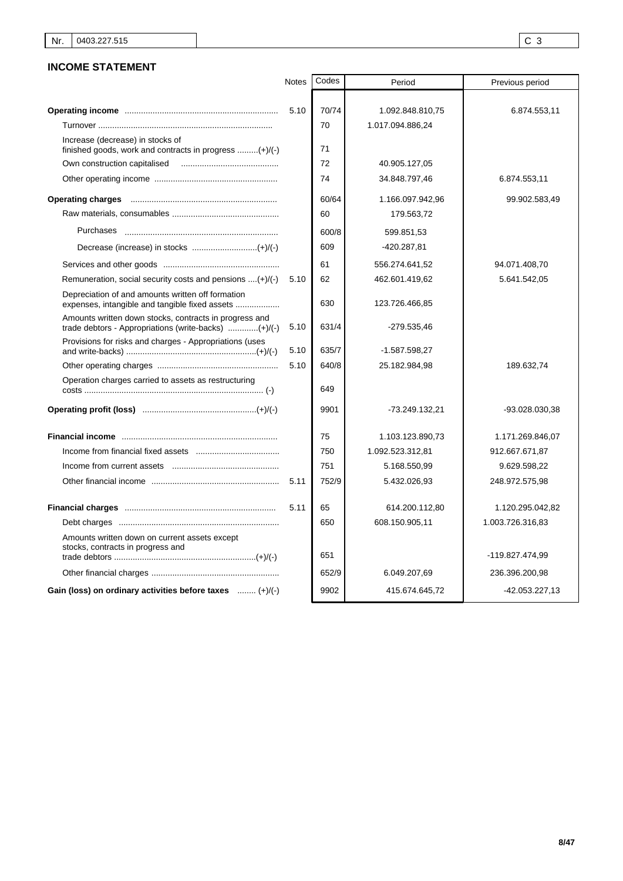# **INCOME STATEMENT**

|                                                                                              | <b>Notes</b> | Codes | Period           | Previous period  |
|----------------------------------------------------------------------------------------------|--------------|-------|------------------|------------------|
|                                                                                              |              |       |                  |                  |
|                                                                                              | 5.10         | 70/74 | 1.092.848.810,75 | 6.874.553,11     |
|                                                                                              |              | 70    | 1.017.094.886,24 |                  |
| Increase (decrease) in stocks of<br>finished goods, work and contracts in progress $(+)/(-)$ |              | 71    |                  |                  |
| Own construction capitalised                                                                 |              | 72    | 40.905.127,05    |                  |
|                                                                                              |              | 74    | 34.848.797,46    | 6.874.553,11     |
|                                                                                              |              | 60/64 | 1.166.097.942,96 | 99.902.583,49    |
|                                                                                              |              | 60    | 179.563,72       |                  |
| Purchases                                                                                    |              | 600/8 | 599.851,53       |                  |
|                                                                                              |              | 609   | -420.287,81      |                  |
|                                                                                              |              | 61    | 556.274.641,52   | 94.071.408,70    |
| Remuneration, social security costs and pensions $(+) / (-)$                                 | 5.10         | 62    | 462.601.419,62   | 5.641.542,05     |
| Depreciation of and amounts written off formation                                            |              | 630   | 123.726.466,85   |                  |
| Amounts written down stocks, contracts in progress and                                       | 5.10         | 631/4 | -279.535.46      |                  |
| Provisions for risks and charges - Appropriations (uses                                      | 5.10         | 635/7 | -1.587.598,27    |                  |
|                                                                                              | 5.10         | 640/8 | 25.182.984,98    | 189.632,74       |
| Operation charges carried to assets as restructuring                                         |              | 649   |                  |                  |
|                                                                                              |              | 9901  | -73.249.132,21   | -93.028.030,38   |
|                                                                                              |              | 75    | 1.103.123.890,73 | 1.171.269.846,07 |
|                                                                                              |              | 750   | 1.092.523.312,81 | 912.667.671,87   |
|                                                                                              |              | 751   | 5.168.550,99     | 9.629.598,22     |
|                                                                                              | 5.11         | 752/9 | 5.432.026,93     | 248.972.575,98   |
|                                                                                              | 5.11         | 65    | 614.200.112,80   | 1.120.295.042,82 |
|                                                                                              |              | 650   | 608.150.905,11   | 1.003.726.316,83 |
| Amounts written down on current assets except<br>stocks, contracts in progress and           |              | 651   |                  | -119.827.474,99  |
|                                                                                              |              | 652/9 | 6.049.207,69     | 236.396.200,98   |
| Gain (loss) on ordinary activities before taxes  (+)/(-)                                     |              | 9902  | 415.674.645,72   | -42.053.227,13   |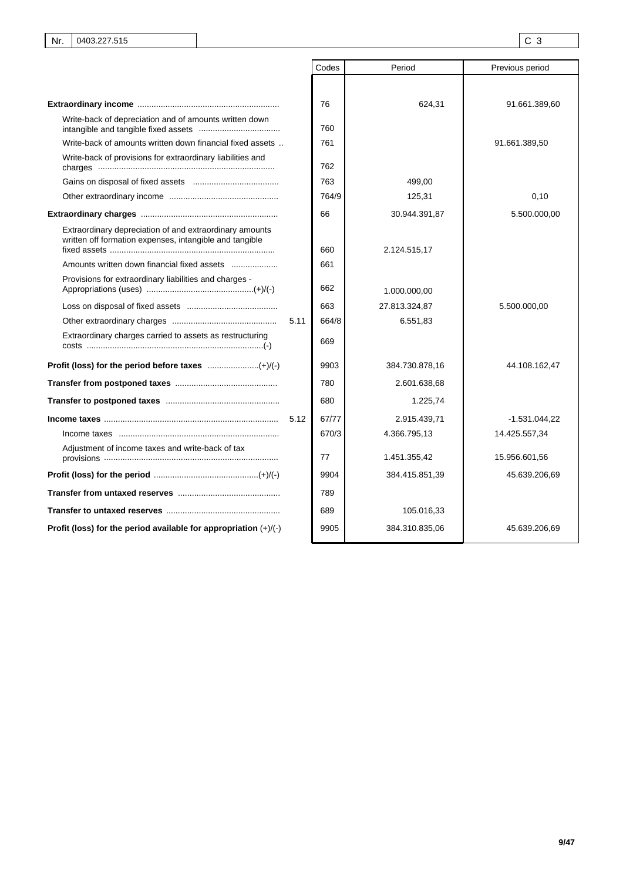|                                                                                                                    |      | Codes | Period         | Previous period |
|--------------------------------------------------------------------------------------------------------------------|------|-------|----------------|-----------------|
|                                                                                                                    |      |       |                |                 |
|                                                                                                                    |      | 76    | 624,31         | 91.661.389,60   |
| Write-back of depreciation and of amounts written down                                                             |      | 760   |                |                 |
| Write-back of amounts written down financial fixed assets                                                          |      | 761   |                | 91.661.389,50   |
| Write-back of provisions for extraordinary liabilities and                                                         |      | 762   |                |                 |
|                                                                                                                    |      | 763   | 499,00         |                 |
|                                                                                                                    |      | 764/9 | 125,31         | 0,10            |
|                                                                                                                    |      | 66    | 30.944.391,87  | 5.500.000,00    |
| Extraordinary depreciation of and extraordinary amounts<br>written off formation expenses, intangible and tangible |      | 660   | 2.124.515,17   |                 |
| Amounts written down financial fixed assets                                                                        |      | 661   |                |                 |
| Provisions for extraordinary liabilities and charges -                                                             |      | 662   | 1.000.000,00   |                 |
|                                                                                                                    |      | 663   | 27.813.324,87  | 5.500.000,00    |
|                                                                                                                    | 5.11 | 664/8 | 6.551,83       |                 |
| Extraordinary charges carried to assets as restructuring                                                           |      | 669   |                |                 |
|                                                                                                                    |      | 9903  | 384.730.878,16 | 44.108.162,47   |
|                                                                                                                    |      | 780   | 2.601.638,68   |                 |
|                                                                                                                    |      | 680   | 1.225,74       |                 |
|                                                                                                                    |      | 67/77 | 2.915.439,71   | $-1.531.044.22$ |
|                                                                                                                    |      | 670/3 | 4.366.795,13   | 14.425.557,34   |
| Adjustment of income taxes and write-back of tax                                                                   |      | 77    | 1.451.355,42   | 15.956.601,56   |
|                                                                                                                    |      | 9904  | 384.415.851,39 | 45.639.206,69   |
|                                                                                                                    |      | 789   |                |                 |
|                                                                                                                    |      | 689   | 105.016,33     |                 |
| Profit (loss) for the period available for appropriation $(+)/(-)$                                                 |      | 9905  | 384.310.835,06 | 45.639.206,69   |

I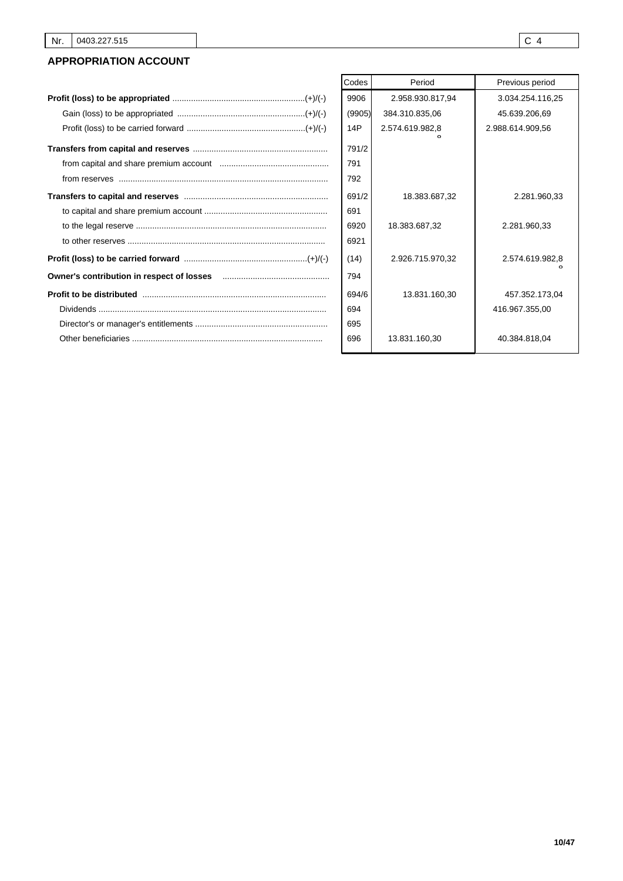# **APPROPRIATION ACCOUNT**

| Codes  | Period           | Previous period  |
|--------|------------------|------------------|
| 9906   | 2.958.930.817,94 | 3.034.254.116,25 |
| (9905) | 384.310.835,06   | 45.639.206,69    |
| 14P    | 2.574.619.982,8  | 2.988.614.909.56 |
| 791/2  |                  |                  |
| 791    |                  |                  |
| 792    |                  |                  |
| 691/2  | 18.383.687,32    | 2.281.960,33     |
| 691    |                  |                  |
| 6920   | 18.383.687,32    | 2.281.960,33     |
| 6921   |                  |                  |
| (14)   | 2.926.715.970,32 | 2.574.619.982,8  |
| 794    |                  |                  |
| 694/6  | 13.831.160,30    | 457.352.173,04   |
| 694    |                  | 416.967.355.00   |
| 695    |                  |                  |
| 696    | 13.831.160,30    | 40.384.818,04    |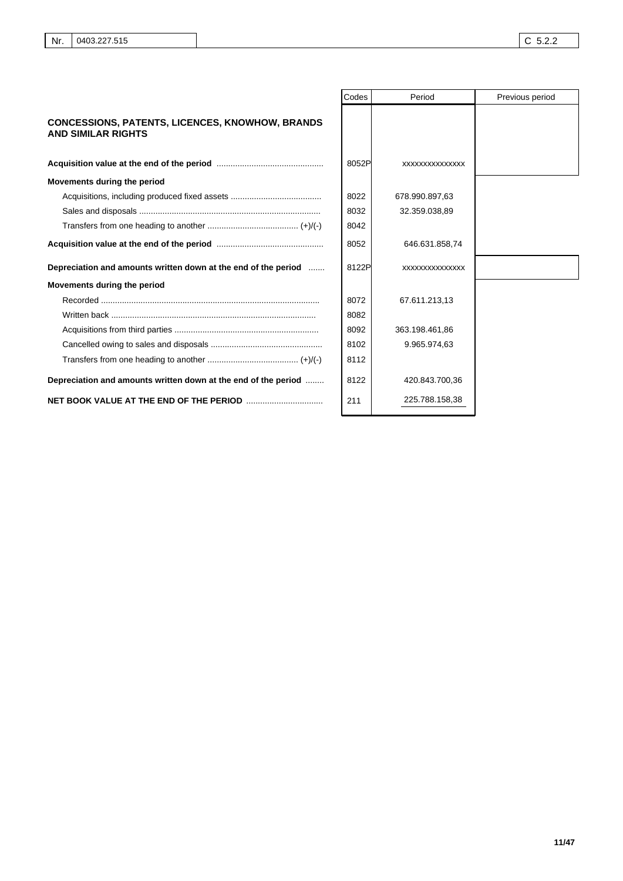|                                                                                     | Codes | Period          | Previous period |
|-------------------------------------------------------------------------------------|-------|-----------------|-----------------|
| <b>CONCESSIONS, PATENTS, LICENCES, KNOWHOW, BRANDS</b><br><b>AND SIMILAR RIGHTS</b> |       |                 |                 |
|                                                                                     | 8052P | XXXXXXXXXXXXXX  |                 |
| Movements during the period                                                         |       |                 |                 |
|                                                                                     | 8022  | 678.990.897,63  |                 |
|                                                                                     | 8032  | 32.359.038,89   |                 |
|                                                                                     | 8042  |                 |                 |
|                                                                                     | 8052  | 646.631.858,74  |                 |
| Depreciation and amounts written down at the end of the period                      | 8122P | XXXXXXXXXXXXXXX |                 |
| Movements during the period                                                         |       |                 |                 |
|                                                                                     | 8072  | 67.611.213,13   |                 |
|                                                                                     | 8082  |                 |                 |
|                                                                                     | 8092  | 363.198.461,86  |                 |
|                                                                                     | 8102  | 9.965.974,63    |                 |
|                                                                                     | 8112  |                 |                 |
| Depreciation and amounts written down at the end of the period                      | 8122  | 420.843.700,36  |                 |
|                                                                                     | 211   | 225.788.158,38  |                 |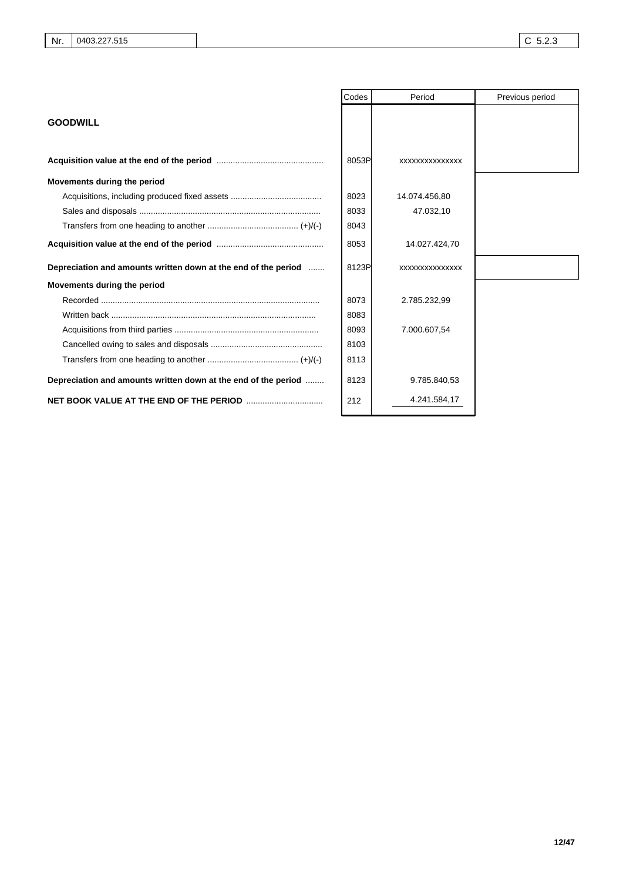|                                                                | Codes | Period          | Previous period |
|----------------------------------------------------------------|-------|-----------------|-----------------|
| <b>GOODWILL</b>                                                |       |                 |                 |
|                                                                | 8053P | XXXXXXXXXXXXXXX |                 |
| Movements during the period                                    |       |                 |                 |
|                                                                | 8023  | 14.074.456,80   |                 |
|                                                                | 8033  | 47.032,10       |                 |
|                                                                | 8043  |                 |                 |
|                                                                | 8053  | 14.027.424,70   |                 |
| Depreciation and amounts written down at the end of the period | 8123P | XXXXXXXXXXXXXX  |                 |
| Movements during the period                                    |       |                 |                 |
|                                                                | 8073  | 2.785.232,99    |                 |
|                                                                | 8083  |                 |                 |
|                                                                | 8093  | 7.000.607,54    |                 |
|                                                                | 8103  |                 |                 |
|                                                                | 8113  |                 |                 |
| Depreciation and amounts written down at the end of the period | 8123  | 9.785.840,53    |                 |
|                                                                | 212   | 4.241.584,17    |                 |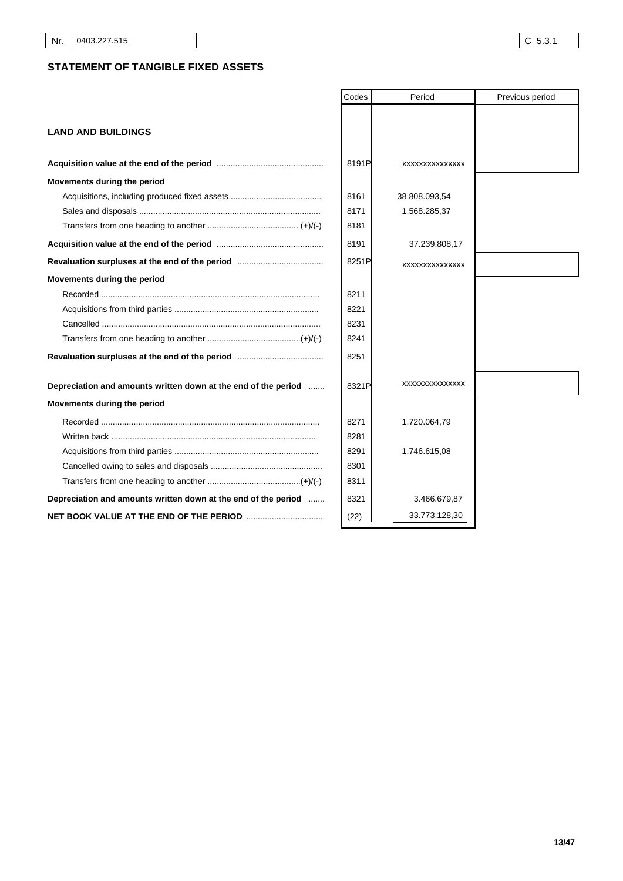# **STATEMENT OF TANGIBLE FIXED ASSETS**

|                                                                                 | Codes | Period         | Previous period |
|---------------------------------------------------------------------------------|-------|----------------|-----------------|
|                                                                                 |       |                |                 |
| <b>LAND AND BUILDINGS</b>                                                       |       |                |                 |
|                                                                                 |       |                |                 |
|                                                                                 | 8191P | XXXXXXXXXXXXXX |                 |
| Movements during the period                                                     |       |                |                 |
|                                                                                 | 8161  | 38.808.093,54  |                 |
|                                                                                 | 8171  | 1.568.285,37   |                 |
|                                                                                 | 8181  |                |                 |
|                                                                                 | 8191  | 37.239.808,17  |                 |
|                                                                                 | 8251P | XXXXXXXXXXXXXX |                 |
| Movements during the period                                                     |       |                |                 |
|                                                                                 | 8211  |                |                 |
|                                                                                 | 8221  |                |                 |
|                                                                                 | 8231  |                |                 |
|                                                                                 | 8241  |                |                 |
|                                                                                 | 8251  |                |                 |
| Depreciation and amounts written down at the end of the period                  | 8321P | XXXXXXXXXXXXXX |                 |
| Movements during the period                                                     |       |                |                 |
|                                                                                 | 8271  | 1.720.064,79   |                 |
|                                                                                 | 8281  |                |                 |
|                                                                                 | 8291  | 1.746.615,08   |                 |
|                                                                                 | 8301  |                |                 |
|                                                                                 | 8311  |                |                 |
| Depreciation and amounts written down at the end of the period                  | 8321  | 3.466.679,87   |                 |
| <b>NET BOOK VALUE AT THE END OF THE PERIOD manual contract of AT THE PERIOD</b> | (22)  | 33.773.128,30  |                 |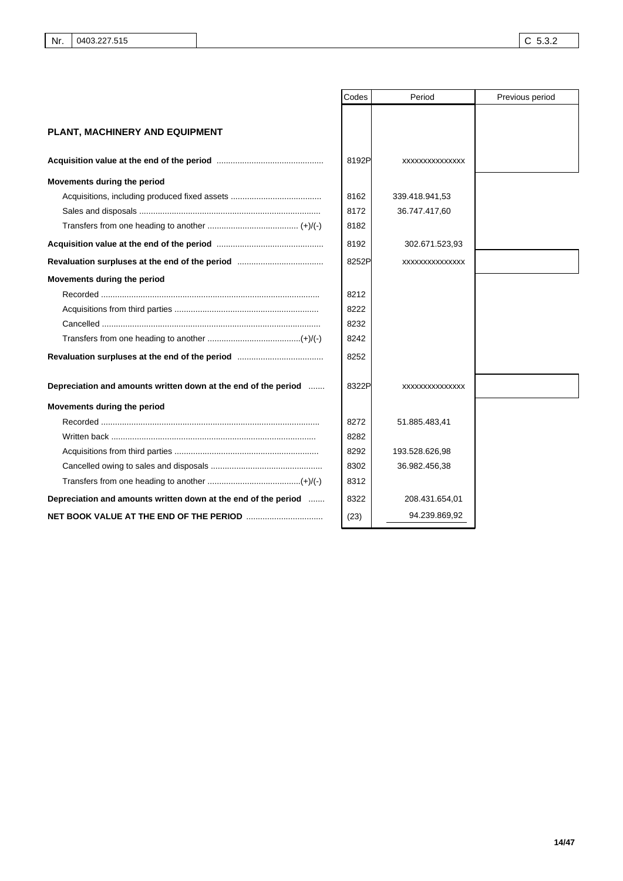|                                                                | Codes | Period         | Previous period |
|----------------------------------------------------------------|-------|----------------|-----------------|
|                                                                |       |                |                 |
| PLANT, MACHINERY AND EQUIPMENT                                 |       |                |                 |
|                                                                | 8192P | XXXXXXXXXXXXXX |                 |
| Movements during the period                                    |       |                |                 |
|                                                                | 8162  | 339.418.941,53 |                 |
|                                                                | 8172  | 36.747.417,60  |                 |
|                                                                | 8182  |                |                 |
|                                                                | 8192  | 302.671.523,93 |                 |
|                                                                | 8252P | XXXXXXXXXXXXXX |                 |
| Movements during the period                                    |       |                |                 |
|                                                                | 8212  |                |                 |
|                                                                | 8222  |                |                 |
|                                                                | 8232  |                |                 |
|                                                                | 8242  |                |                 |
|                                                                | 8252  |                |                 |
| Depreciation and amounts written down at the end of the period | 8322P | XXXXXXXXXXXXXX |                 |
| Movements during the period                                    |       |                |                 |
|                                                                | 8272  | 51.885.483,41  |                 |
| Written back …………………………………………………………………………                      | 8282  |                |                 |
|                                                                | 8292  | 193.528.626,98 |                 |
|                                                                | 8302  | 36.982.456,38  |                 |
|                                                                | 8312  |                |                 |
| Depreciation and amounts written down at the end of the period | 8322  | 208.431.654,01 |                 |
|                                                                | (23)  | 94.239.869,92  |                 |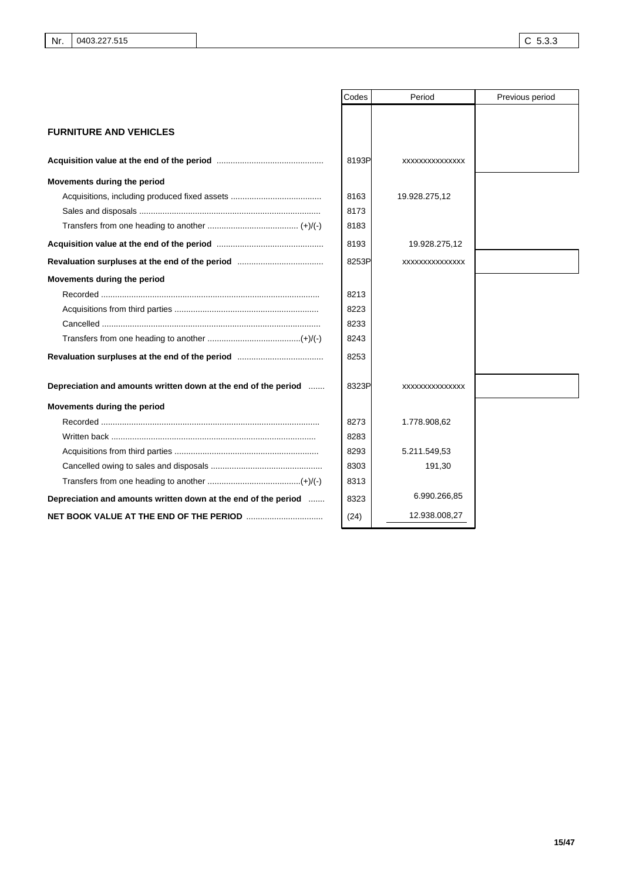|                                                                | Codes | Period          | Previous period |
|----------------------------------------------------------------|-------|-----------------|-----------------|
|                                                                |       |                 |                 |
| <b>FURNITURE AND VEHICLES</b>                                  |       |                 |                 |
|                                                                | 8193P | XXXXXXXXXXXXXX  |                 |
| Movements during the period                                    |       |                 |                 |
|                                                                | 8163  | 19.928.275,12   |                 |
|                                                                | 8173  |                 |                 |
|                                                                | 8183  |                 |                 |
|                                                                | 8193  | 19.928.275,12   |                 |
|                                                                | 8253P | XXXXXXXXXXXXXXX |                 |
| Movements during the period                                    |       |                 |                 |
|                                                                | 8213  |                 |                 |
|                                                                | 8223  |                 |                 |
|                                                                | 8233  |                 |                 |
|                                                                | 8243  |                 |                 |
|                                                                | 8253  |                 |                 |
| Depreciation and amounts written down at the end of the period | 8323P | XXXXXXXXXXXXXXX |                 |
| Movements during the period                                    |       |                 |                 |
|                                                                | 8273  | 1.778.908,62    |                 |
|                                                                | 8283  |                 |                 |
|                                                                | 8293  | 5.211.549,53    |                 |
|                                                                | 8303  | 191,30          |                 |
|                                                                | 8313  |                 |                 |
| Depreciation and amounts written down at the end of the period | 8323  | 6.990.266,85    |                 |
|                                                                | (24)  | 12.938.008,27   |                 |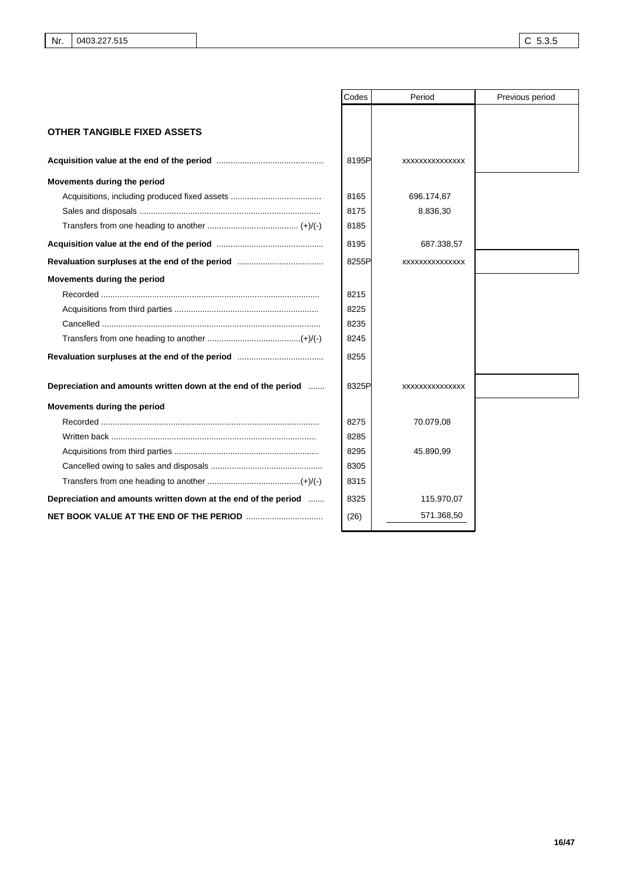|                                                                | Codes | Period         | Previous period |
|----------------------------------------------------------------|-------|----------------|-----------------|
|                                                                |       |                |                 |
| <b>OTHER TANGIBLE FIXED ASSETS</b>                             |       |                |                 |
|                                                                | 8195P | XXXXXXXXXXXXXX |                 |
| Movements during the period                                    |       |                |                 |
|                                                                | 8165  | 696.174,87     |                 |
|                                                                | 8175  | 8.836,30       |                 |
|                                                                | 8185  |                |                 |
|                                                                | 8195  | 687.338,57     |                 |
|                                                                | 8255P | XXXXXXXXXXXXXX |                 |
| Movements during the period                                    |       |                |                 |
|                                                                | 8215  |                |                 |
|                                                                | 8225  |                |                 |
|                                                                | 8235  |                |                 |
|                                                                | 8245  |                |                 |
|                                                                | 8255  |                |                 |
| Depreciation and amounts written down at the end of the period | 8325P | XXXXXXXXXXXXXX |                 |
| Movements during the period                                    |       |                |                 |
|                                                                | 8275  | 70.079,08      |                 |
|                                                                | 8285  |                |                 |
|                                                                | 8295  | 45.890,99      |                 |
|                                                                | 8305  |                |                 |
|                                                                | 8315  |                |                 |
| Depreciation and amounts written down at the end of the period | 8325  | 115.970,07     |                 |
|                                                                | (26)  | 571.368,50     |                 |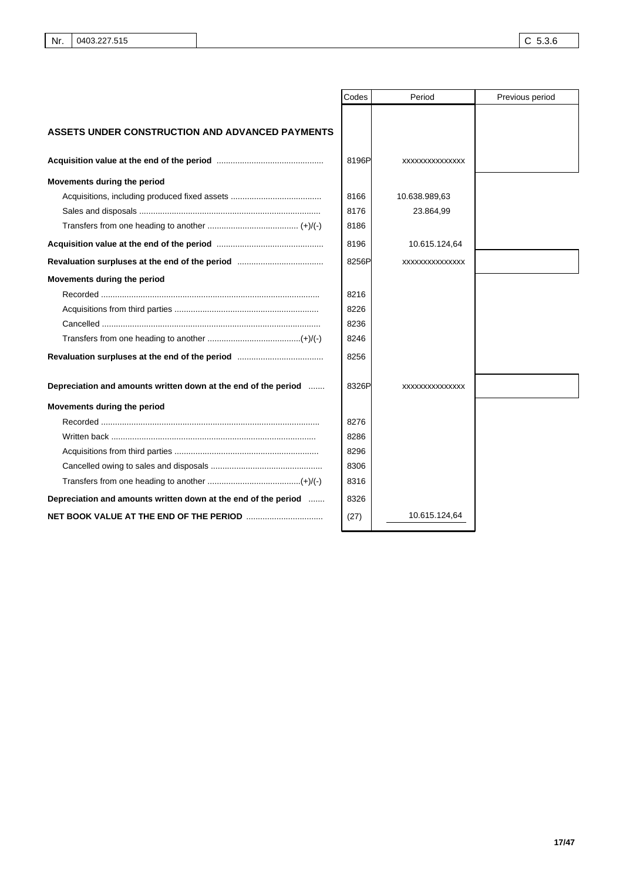|                                                                | Codes | Period         | Previous period |
|----------------------------------------------------------------|-------|----------------|-----------------|
|                                                                |       |                |                 |
| <b>ASSETS UNDER CONSTRUCTION AND ADVANCED PAYMENTS</b>         |       |                |                 |
|                                                                | 8196P | XXXXXXXXXXXXXX |                 |
| Movements during the period                                    |       |                |                 |
|                                                                | 8166  | 10.638.989,63  |                 |
|                                                                | 8176  | 23.864,99      |                 |
|                                                                | 8186  |                |                 |
|                                                                | 8196  | 10.615.124,64  |                 |
|                                                                | 8256P | XXXXXXXXXXXXXX |                 |
| Movements during the period                                    |       |                |                 |
|                                                                | 8216  |                |                 |
|                                                                | 8226  |                |                 |
|                                                                | 8236  |                |                 |
|                                                                | 8246  |                |                 |
|                                                                | 8256  |                |                 |
| Depreciation and amounts written down at the end of the period | 8326P | XXXXXXXXXXXXXX |                 |
| Movements during the period                                    |       |                |                 |
|                                                                | 8276  |                |                 |
|                                                                | 8286  |                |                 |
|                                                                | 8296  |                |                 |
|                                                                | 8306  |                |                 |
|                                                                | 8316  |                |                 |
| Depreciation and amounts written down at the end of the period | 8326  |                |                 |
|                                                                | (27)  | 10.615.124,64  |                 |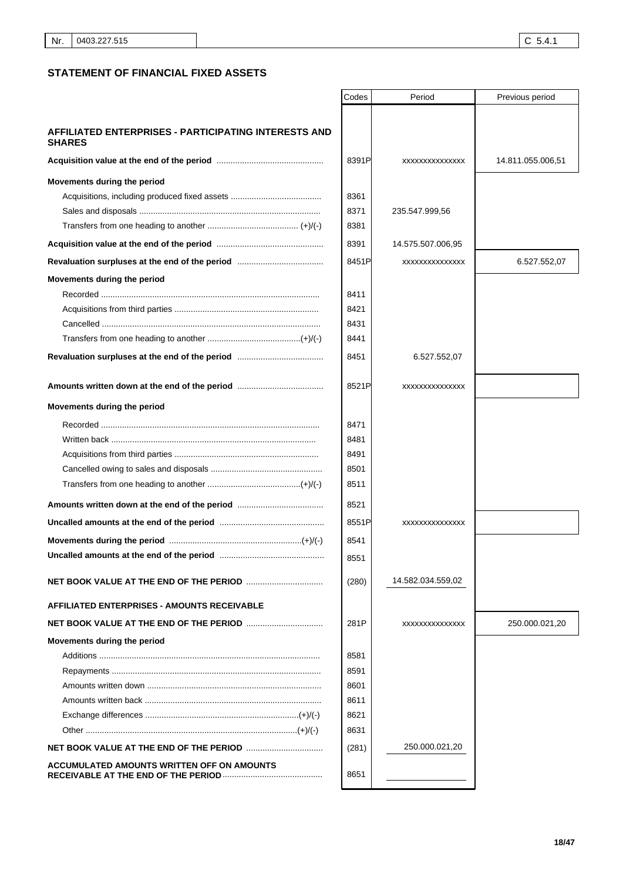┒

٦

# **STATEMENT OF FINANCIAL FIXED ASSETS**

|                                                                              | Codes | Period            | Previous period   |
|------------------------------------------------------------------------------|-------|-------------------|-------------------|
|                                                                              |       |                   |                   |
| <b>AFFILIATED ENTERPRISES - PARTICIPATING INTERESTS AND</b><br><b>SHARES</b> |       |                   |                   |
|                                                                              | 8391P | XXXXXXXXXXXXXXX   | 14.811.055.006,51 |
| Movements during the period                                                  |       |                   |                   |
|                                                                              | 8361  |                   |                   |
|                                                                              | 8371  | 235.547.999,56    |                   |
|                                                                              | 8381  |                   |                   |
|                                                                              | 8391  | 14.575.507.006.95 |                   |
|                                                                              | 8451P | XXXXXXXXXXXXXX    | 6.527.552,07      |
| Movements during the period                                                  |       |                   |                   |
|                                                                              | 8411  |                   |                   |
|                                                                              | 8421  |                   |                   |
|                                                                              | 8431  |                   |                   |
|                                                                              | 8441  |                   |                   |
|                                                                              | 8451  | 6.527.552,07      |                   |
|                                                                              | 8521P | XXXXXXXXXXXXXX    |                   |
| Movements during the period                                                  |       |                   |                   |
|                                                                              | 8471  |                   |                   |
|                                                                              | 8481  |                   |                   |
|                                                                              | 8491  |                   |                   |
|                                                                              | 8501  |                   |                   |
|                                                                              | 8511  |                   |                   |
|                                                                              | 8521  |                   |                   |
|                                                                              | 8551P | XXXXXXXXXXXXXX    |                   |
|                                                                              | 8541  |                   |                   |
|                                                                              | 8551  |                   |                   |
|                                                                              | (280) | 14.582.034.559,02 |                   |
| <b>AFFILIATED ENTERPRISES - AMOUNTS RECEIVABLE</b>                           |       |                   |                   |
|                                                                              | 281P  | XXXXXXXXXXXXXXX   | 250.000.021,20    |
| Movements during the period                                                  |       |                   |                   |
|                                                                              | 8581  |                   |                   |
|                                                                              | 8591  |                   |                   |
|                                                                              | 8601  |                   |                   |
|                                                                              | 8611  |                   |                   |
|                                                                              | 8621  |                   |                   |
|                                                                              | 8631  |                   |                   |
|                                                                              | (281) | 250.000.021,20    |                   |
| ACCUMULATED AMOUNTS WRITTEN OFF ON AMOUNTS                                   | 8651  |                   |                   |

 $\mathsf{r}$ 

T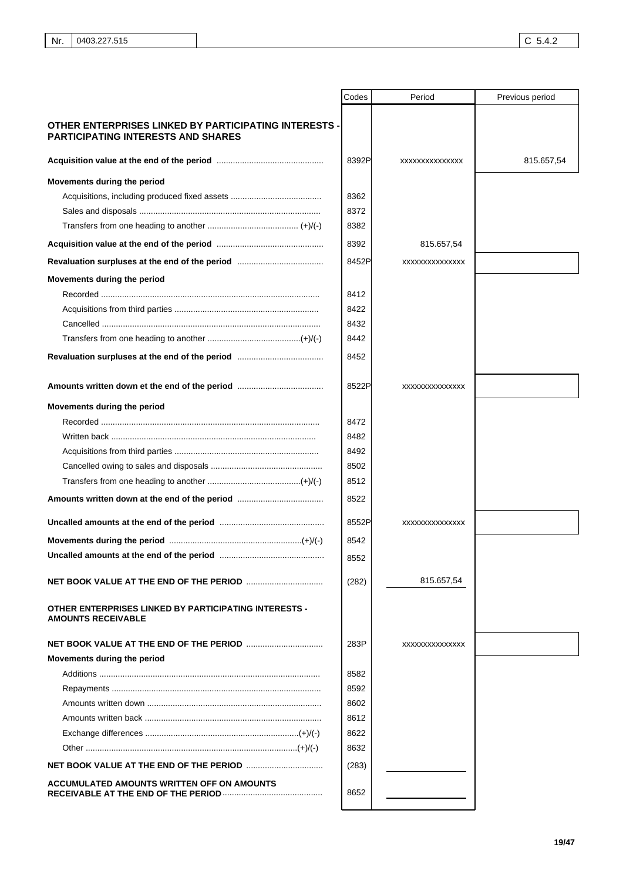|                                                                                                    | Codes | Period         | Previous period |
|----------------------------------------------------------------------------------------------------|-------|----------------|-----------------|
| OTHER ENTERPRISES LINKED BY PARTICIPATING INTERESTS -<br><b>PARTICIPATING INTERESTS AND SHARES</b> |       |                |                 |
|                                                                                                    | 8392P | XXXXXXXXXXXXXX | 815.657,54      |
| Movements during the period                                                                        |       |                |                 |
|                                                                                                    | 8362  |                |                 |
|                                                                                                    | 8372  |                |                 |
|                                                                                                    | 8382  |                |                 |
|                                                                                                    | 8392  | 815.657,54     |                 |
|                                                                                                    | 8452P | XXXXXXXXXXXXXX |                 |
| Movements during the period                                                                        |       |                |                 |
|                                                                                                    | 8412  |                |                 |
|                                                                                                    | 8422  |                |                 |
|                                                                                                    | 8432  |                |                 |
|                                                                                                    | 8442  |                |                 |
|                                                                                                    | 8452  |                |                 |
|                                                                                                    | 8522P | XXXXXXXXXXXXXX |                 |
| Movements during the period                                                                        |       |                |                 |
|                                                                                                    | 8472  |                |                 |
|                                                                                                    | 8482  |                |                 |
|                                                                                                    | 8492  |                |                 |
|                                                                                                    | 8502  |                |                 |
|                                                                                                    | 8512  |                |                 |
|                                                                                                    | 8522  |                |                 |
|                                                                                                    | 8552P | XXXXXXXXXXXXXX |                 |
|                                                                                                    | 8542  |                |                 |
|                                                                                                    | 8552  |                |                 |
|                                                                                                    | (282) | 815.657,54     |                 |
| <b>OTHER ENTERPRISES LINKED BY PARTICIPATING INTERESTS -</b><br><b>AMOUNTS RECEIVABLE</b>          |       |                |                 |
|                                                                                                    | 283P  | XXXXXXXXXXXXXX |                 |
| Movements during the period                                                                        |       |                |                 |
|                                                                                                    | 8582  |                |                 |
|                                                                                                    | 8592  |                |                 |
|                                                                                                    | 8602  |                |                 |
|                                                                                                    | 8612  |                |                 |
|                                                                                                    | 8622  |                |                 |
|                                                                                                    | 8632  |                |                 |
|                                                                                                    | (283) |                |                 |
| ACCUMULATED AMOUNTS WRITTEN OFF ON AMOUNTS                                                         | 8652  |                |                 |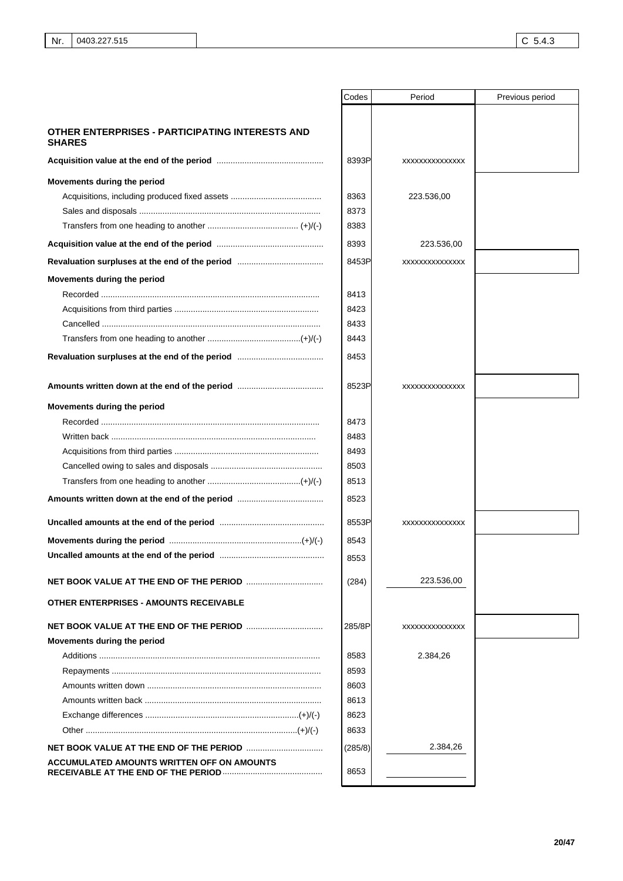|                                                                  | Codes   | Period          | Previous period |
|------------------------------------------------------------------|---------|-----------------|-----------------|
|                                                                  |         |                 |                 |
| OTHER ENTERPRISES - PARTICIPATING INTERESTS AND<br><b>SHARES</b> |         |                 |                 |
|                                                                  | 8393P   | XXXXXXXXXXXXXX  |                 |
| Movements during the period                                      |         |                 |                 |
|                                                                  | 8363    | 223.536,00      |                 |
|                                                                  | 8373    |                 |                 |
|                                                                  | 8383    |                 |                 |
|                                                                  | 8393    | 223.536,00      |                 |
|                                                                  | 8453P   | XXXXXXXXXXXXXX  |                 |
| Movements during the period                                      |         |                 |                 |
|                                                                  | 8413    |                 |                 |
|                                                                  | 8423    |                 |                 |
|                                                                  | 8433    |                 |                 |
|                                                                  | 8443    |                 |                 |
|                                                                  | 8453    |                 |                 |
|                                                                  | 8523P   | XXXXXXXXXXXXXX  |                 |
| Movements during the period                                      |         |                 |                 |
|                                                                  | 8473    |                 |                 |
|                                                                  | 8483    |                 |                 |
|                                                                  | 8493    |                 |                 |
|                                                                  | 8503    |                 |                 |
|                                                                  | 8513    |                 |                 |
|                                                                  | 8523    |                 |                 |
|                                                                  | 8553P   | XXXXXXXXXXXXXXX |                 |
|                                                                  | 8543    |                 |                 |
|                                                                  |         |                 |                 |
|                                                                  | 8553    |                 |                 |
|                                                                  | (284)   | 223.536,00      |                 |
| <b>OTHER ENTERPRISES - AMOUNTS RECEIVABLE</b>                    |         |                 |                 |
|                                                                  | 285/8P  | XXXXXXXXXXXXXX  |                 |
| Movements during the period                                      |         |                 |                 |
|                                                                  | 8583    | 2.384,26        |                 |
|                                                                  | 8593    |                 |                 |
|                                                                  | 8603    |                 |                 |
|                                                                  | 8613    |                 |                 |
|                                                                  | 8623    |                 |                 |
|                                                                  | 8633    |                 |                 |
|                                                                  | (285/8) | 2.384,26        |                 |
| ACCUMULATED AMOUNTS WRITTEN OFF ON AMOUNTS                       | 8653    |                 |                 |
|                                                                  |         |                 |                 |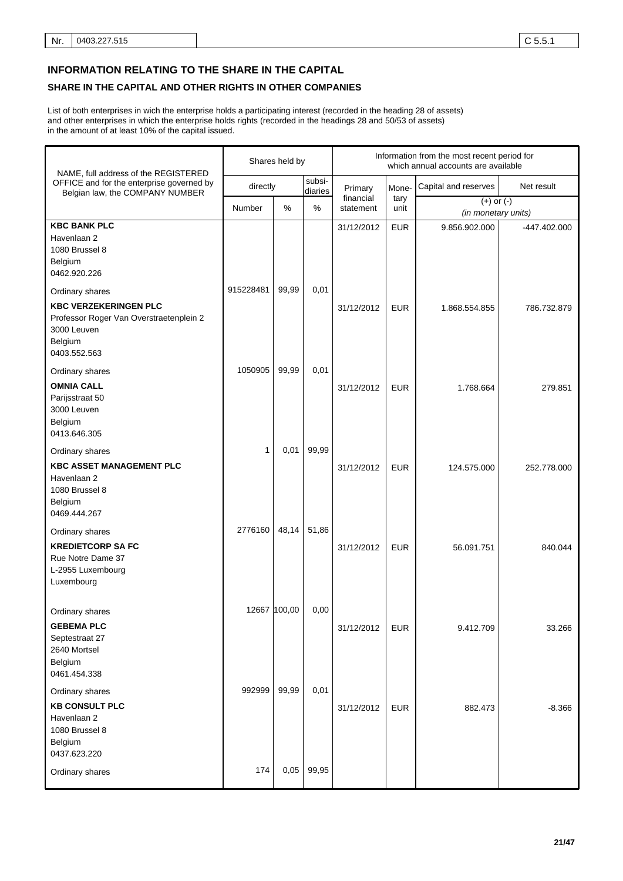# **INFORMATION RELATING TO THE SHARE IN THE CAPITAL**

# **SHARE IN THE CAPITAL AND OTHER RIGHTS IN OTHER COMPANIES**

List of both enterprises in wich the enterprise holds a participating interest (recorded in the heading 28 of assets) and other enterprises in which the enterprise holds rights (recorded in the headings 28 and 50/53 of assets) in the amount of at least 10% of the capital issued.

| NAME, full address of the REGISTERED                                                                                                 |              | Shares held by |                   | Information from the most recent period for<br>which annual accounts are available |              |                                       |              |
|--------------------------------------------------------------------------------------------------------------------------------------|--------------|----------------|-------------------|------------------------------------------------------------------------------------|--------------|---------------------------------------|--------------|
| OFFICE and for the enterprise governed by<br>Belgian law, the COMPANY NUMBER                                                         | directly     |                | subsi-<br>diaries | Primary                                                                            | Mone-        | Capital and reserves                  | Net result   |
|                                                                                                                                      | Number       | %              | %                 | financial<br>statement                                                             | tary<br>unit | $(+)$ or $(-)$<br>(in monetary units) |              |
| <b>KBC BANK PLC</b><br>Havenlaan 2<br>1080 Brussel 8<br>Belgium<br>0462.920.226                                                      |              |                |                   | 31/12/2012                                                                         | <b>EUR</b>   | 9.856.902.000                         | -447.402.000 |
| Ordinary shares<br><b>KBC VERZEKERINGEN PLC</b><br>Professor Roger Van Overstraetenplein 2<br>3000 Leuven<br>Belgium<br>0403.552.563 | 915228481    | 99,99          | 0,01              | 31/12/2012                                                                         | <b>EUR</b>   | 1.868.554.855                         | 786.732.879  |
| Ordinary shares<br><b>OMNIA CALL</b><br>Parijsstraat 50<br>3000 Leuven<br>Belgium<br>0413.646.305                                    | 1050905      | 99,99          | 0,01              | 31/12/2012                                                                         | <b>EUR</b>   | 1.768.664                             | 279.851      |
| Ordinary shares<br><b>KBC ASSET MANAGEMENT PLC</b><br>Havenlaan 2<br>1080 Brussel 8<br>Belgium<br>0469.444.267                       | 1            | 0,01           | 99,99             | 31/12/2012                                                                         | <b>EUR</b>   | 124.575.000                           | 252.778.000  |
| Ordinary shares<br><b>KREDIETCORP SA FC</b><br>Rue Notre Dame 37<br>L-2955 Luxembourg<br>Luxembourg                                  | 2776160      | 48,14          | 51,86             | 31/12/2012                                                                         | <b>EUR</b>   | 56.091.751                            | 840.044      |
| Ordinary shares<br><b>GEBEMA PLC</b><br>Septestraat 27<br>2640 Mortsel<br>Belgium<br>0461.454.338                                    | 12667 100,00 |                | 0,00              | 31/12/2012                                                                         | <b>EUR</b>   | 9.412.709                             | 33.266       |
| Ordinary shares<br><b>KB CONSULT PLC</b><br>Havenlaan 2<br>1080 Brussel 8<br>Belgium<br>0437.623.220                                 | 992999       | 99,99          | 0,01              | 31/12/2012                                                                         | <b>EUR</b>   | 882.473                               | $-8.366$     |
| Ordinary shares                                                                                                                      | 174          | 0,05           | 99,95             |                                                                                    |              |                                       |              |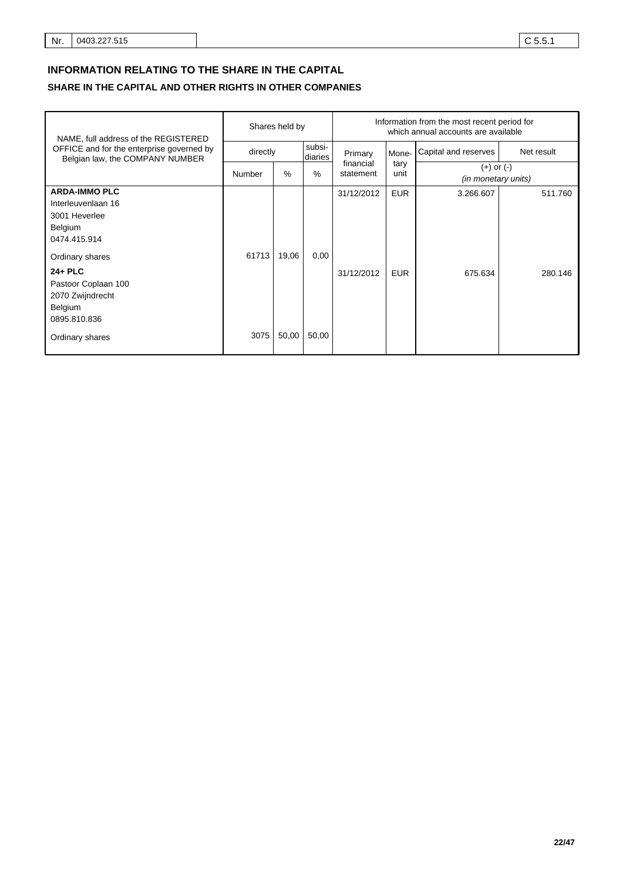# **INFORMATION RELATING TO THE SHARE IN THE CAPITAL**

# **SHARE IN THE CAPITAL AND OTHER RIGHTS IN OTHER COMPANIES**

| NAME, full address of the REGISTERED                                                                                                                                                          |               | Shares held by |                   |                                   | Information from the most recent period for<br>which annual accounts are available |                      |                    |  |  |  |  |  |  |  |  |  |  |  |  |  |  |  |  |  |  |  |  |  |  |  |  |  |  |  |  |  |  |              |                                              |
|-----------------------------------------------------------------------------------------------------------------------------------------------------------------------------------------------|---------------|----------------|-------------------|-----------------------------------|------------------------------------------------------------------------------------|----------------------|--------------------|--|--|--|--|--|--|--|--|--|--|--|--|--|--|--|--|--|--|--|--|--|--|--|--|--|--|--|--|--|--|--------------|----------------------------------------------|
| OFFICE and for the enterprise governed by<br>Belgian law, the COMPANY NUMBER                                                                                                                  | directly      |                | subsi-<br>diaries | Primary<br>financial<br>statement | Mone-                                                                              | Capital and reserves | Net result         |  |  |  |  |  |  |  |  |  |  |  |  |  |  |  |  |  |  |  |  |  |  |  |  |  |  |  |  |  |  |              |                                              |
|                                                                                                                                                                                               | Number        | $\%$           | %                 |                                   |                                                                                    |                      |                    |  |  |  |  |  |  |  |  |  |  |  |  |  |  |  |  |  |  |  |  |  |  |  |  |  |  |  |  |  |  | tary<br>unit | $(+)$ or $(-)$<br><i>(in monetary units)</i> |
| <b>ARDA-IMMO PLC</b><br>Interleuvenlaan 16<br>3001 Heverlee<br>Belgium<br>0474.415.914<br>Ordinary shares<br>$24 + PLC$<br>Pastoor Coplaan 100<br>2070 Zwijndrecht<br>Belgium<br>0895.810.836 | 61713<br>3075 | 19,06<br>50,00 | 0,00<br>50,00     | 31/12/2012<br>31/12/2012          | <b>EUR</b><br><b>EUR</b>                                                           | 3.266.607<br>675.634 | 511.760<br>280.146 |  |  |  |  |  |  |  |  |  |  |  |  |  |  |  |  |  |  |  |  |  |  |  |  |  |  |  |  |  |  |              |                                              |
| Ordinary shares                                                                                                                                                                               |               |                |                   |                                   |                                                                                    |                      |                    |  |  |  |  |  |  |  |  |  |  |  |  |  |  |  |  |  |  |  |  |  |  |  |  |  |  |  |  |  |  |              |                                              |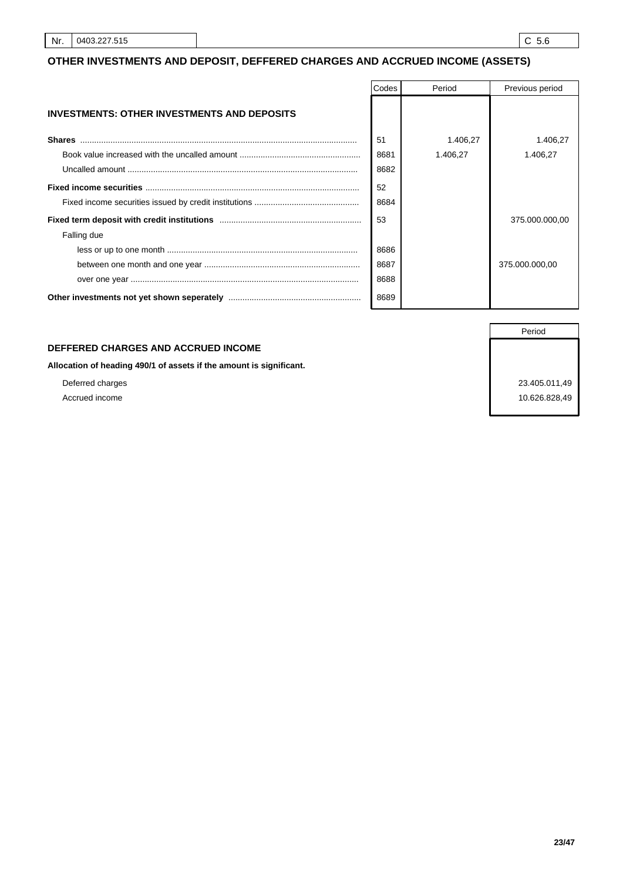# **OTHER INVESTMENTS AND DEPOSIT, DEFFERED CHARGES AND ACCRUED INCOME (ASSETS)**

|                                                    | Codes | Period   | Previous period |
|----------------------------------------------------|-------|----------|-----------------|
| <b>INVESTMENTS: OTHER INVESTMENTS AND DEPOSITS</b> |       |          |                 |
| <b>Shares</b>                                      | 51    | 1.406,27 | 1.406,27        |
|                                                    | 8681  | 1.406.27 | 1.406,27        |
|                                                    | 8682  |          |                 |
|                                                    | 52    |          |                 |
|                                                    | 8684  |          |                 |
|                                                    | 53    |          | 375.000.000,00  |
| Falling due                                        |       |          |                 |
|                                                    | 8686  |          |                 |
|                                                    | 8687  |          | 375.000.000,00  |
|                                                    | 8688  |          |                 |
|                                                    | 8689  |          |                 |

# **DEFFERED CHARGES AND ACCRUED INCOME**

**Allocation of heading 490/1 of assets if the amount is significant.**

Accrued income 10.626.828,49

Deferred charges 23.405.011,49

Period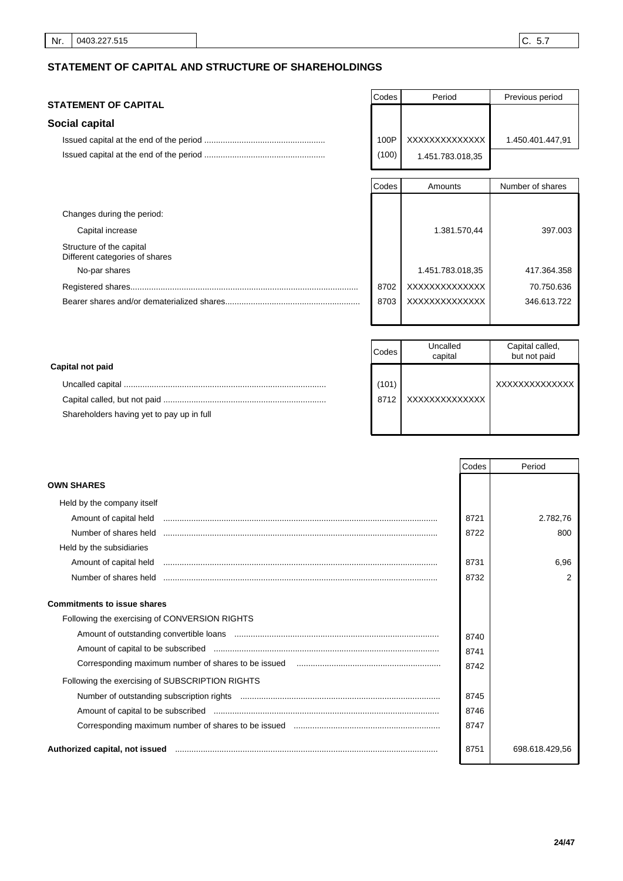# **STATEMENT OF CAPITAL AND STRUCTURE OF SHAREHOLDINGS**

# **STATEMENT OF CAPITAL**

# **Social capital**

| Codes | Period           | Previous period  |
|-------|------------------|------------------|
|       |                  |                  |
|       |                  |                  |
| 100P  | XXXXXXXXXXXXX    | 1.450.401.447,91 |
| (100) | 1.451.783.018,35 |                  |

|                                                            | Codes | Amounts          | Number of shares |
|------------------------------------------------------------|-------|------------------|------------------|
|                                                            |       |                  |                  |
| Changes during the period:                                 |       |                  |                  |
| Capital increase                                           |       | 1.381.570,44     | 397,003          |
| Structure of the capital<br>Different categories of shares |       |                  |                  |
| No-par shares                                              |       | 1.451.783.018,35 | 417.364.358      |
|                                                            | 8702  | XXXXXXXXXXXXXX   | 70.750.636       |
|                                                            | 8703  | XXXXXXXXXXXXXX   | 346.613.722      |
|                                                            |       |                  |                  |

|                                           | Codes | Uncalled<br>capital | Capital called,<br>but not paid |
|-------------------------------------------|-------|---------------------|---------------------------------|
| Capital not paid                          |       |                     |                                 |
|                                           | (101) |                     | XXXXXXXXXXXXXX                  |
|                                           | 8712  | XXXXXXXXXXXXXX      |                                 |
| Shareholders having yet to pay up in full |       |                     |                                 |
|                                           |       |                     |                                 |

|                                                 | Codes | Period         |
|-------------------------------------------------|-------|----------------|
| <b>OWN SHARES</b>                               |       |                |
| Held by the company itself                      |       |                |
| Amount of capital held                          | 8721  | 2.782,76       |
| Number of shares held                           | 8722  | 800            |
| Held by the subsidiaries                        |       |                |
| Amount of capital held                          | 8731  | 6,96           |
| Number of shares held                           | 8732  | 2              |
| <b>Commitments to issue shares</b>              |       |                |
| Following the exercising of CONVERSION RIGHTS   |       |                |
|                                                 | 8740  |                |
|                                                 | 8741  |                |
|                                                 | 8742  |                |
| Following the exercising of SUBSCRIPTION RIGHTS |       |                |
|                                                 | 8745  |                |
|                                                 | 8746  |                |
|                                                 | 8747  |                |
| Authorized capital, not issued                  | 8751  | 698.618.429,56 |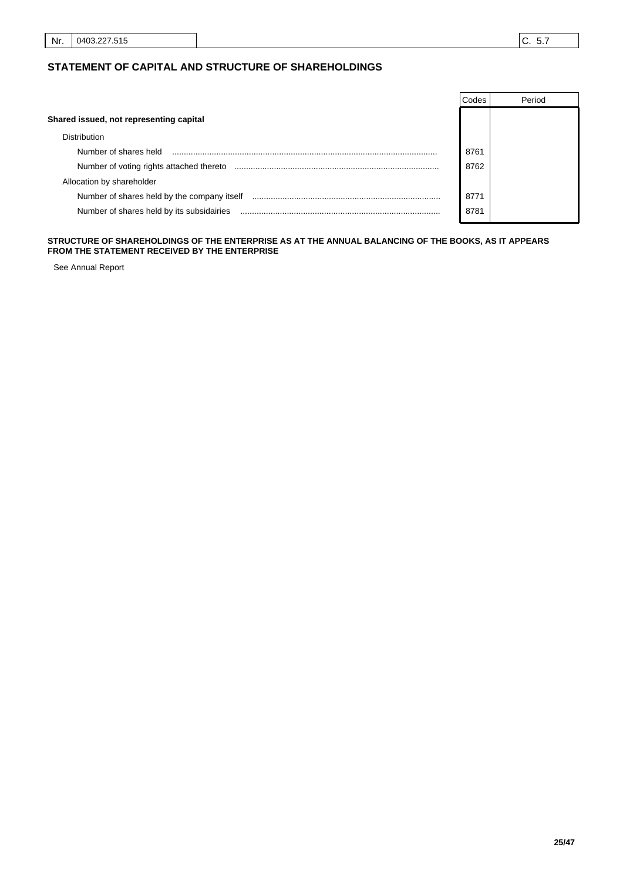# **STATEMENT OF CAPITAL AND STRUCTURE OF SHAREHOLDINGS**

|                                             | Codes | Period |
|---------------------------------------------|-------|--------|
| Shared issued, not representing capital     |       |        |
| <b>Distribution</b>                         |       |        |
| Number of shares held                       | 8761  |        |
| Number of voting rights attached thereto    | 8762  |        |
| Allocation by shareholder                   |       |        |
| Number of shares held by the company itself | 8771  |        |
| Number of shares held by its subsidairies   | 8781  |        |

#### **STRUCTURE OF SHAREHOLDINGS OF THE ENTERPRISE AS AT THE ANNUAL BALANCING OF THE BOOKS, AS IT APPEARS FROM THE STATEMENT RECEIVED BY THE ENTERPRISE**

See Annual Report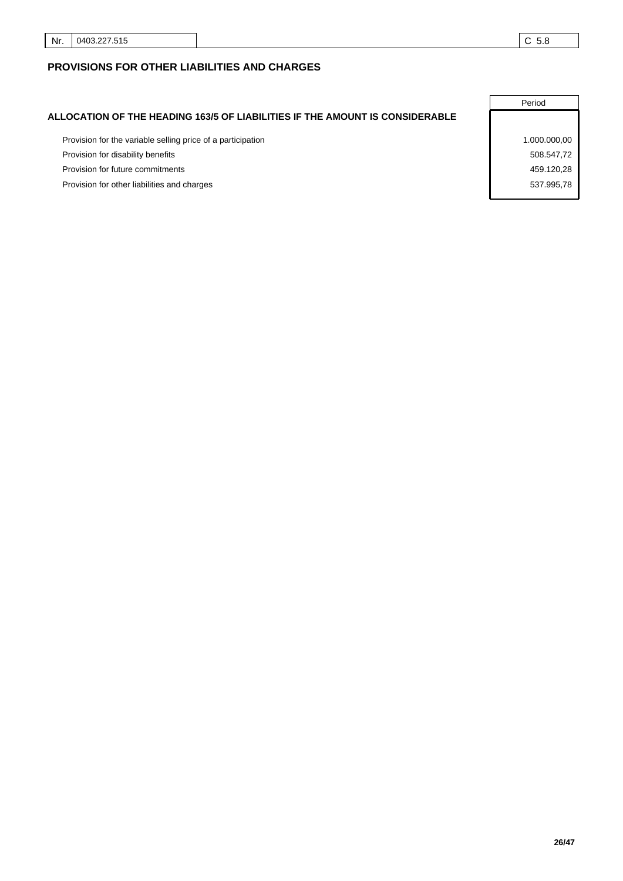# **PROVISIONS FOR OTHER LIABILITIES AND CHARGES**

|                                                                              | Period       |
|------------------------------------------------------------------------------|--------------|
| ALLOCATION OF THE HEADING 163/5 OF LIABILITIES IF THE AMOUNT IS CONSIDERABLE |              |
| Provision for the variable selling price of a participation                  | 1.000.000,00 |
| Provision for disability benefits                                            | 508.547,72   |
| Provision for future commitments                                             | 459.120.28   |
| Provision for other liabilities and charges                                  | 537.995.78   |
|                                                                              |              |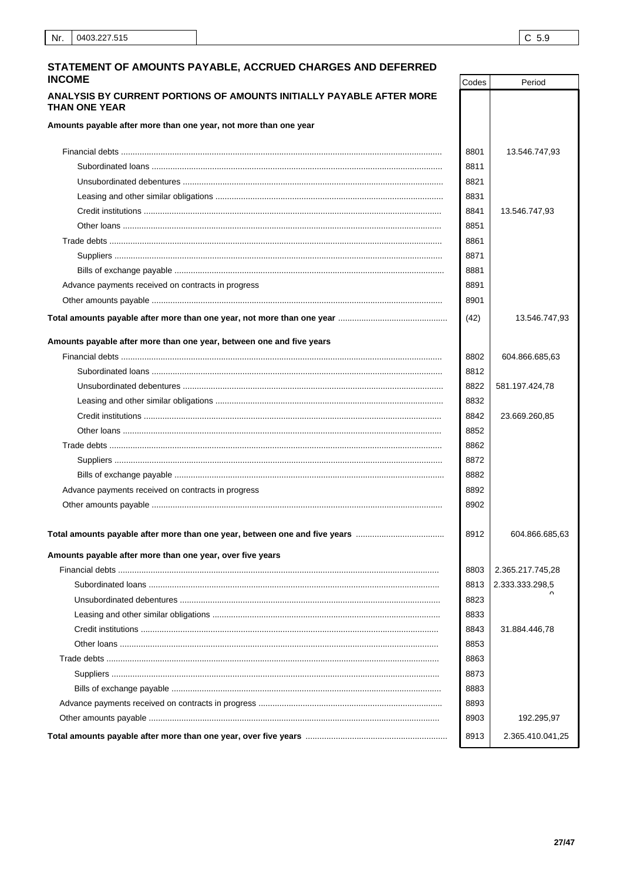Period

Codes

## STATEMENT OF AMOUNTS PAYABLE, ACCRUED CHARGES AND DEFERRED **INCOME**

## ANALYSIS BY CURRENT PORTIONS OF AMOUNTS INITIALLY PAYABLE AFTER MORE THAN ONE YEAR

Amounts payable after more than one year, not more than one year

|                                                                      | 8801 | 13.546.747,93    |
|----------------------------------------------------------------------|------|------------------|
|                                                                      | 8811 |                  |
|                                                                      | 8821 |                  |
|                                                                      | 8831 |                  |
|                                                                      | 8841 | 13.546.747,93    |
|                                                                      | 8851 |                  |
|                                                                      | 8861 |                  |
|                                                                      | 8871 |                  |
|                                                                      | 8881 |                  |
| Advance payments received on contracts in progress                   | 8891 |                  |
|                                                                      | 8901 |                  |
|                                                                      | (42) | 13.546.747,93    |
| Amounts payable after more than one year, between one and five years |      |                  |
|                                                                      | 8802 | 604.866.685,63   |
|                                                                      | 8812 |                  |
|                                                                      | 8822 | 581.197.424,78   |
|                                                                      | 8832 |                  |
|                                                                      | 8842 | 23.669.260,85    |
|                                                                      | 8852 |                  |
|                                                                      | 8862 |                  |
|                                                                      | 8872 |                  |
|                                                                      | 8882 |                  |
| Advance payments received on contracts in progress                   | 8892 |                  |
|                                                                      | 8902 |                  |
|                                                                      | 8912 | 604.866.685,63   |
| Amounts payable after more than one year, over five years            |      |                  |
|                                                                      | 8803 | 2.365.217.745,28 |
|                                                                      | 8813 | 2.333.333.298,5  |
|                                                                      | 8823 |                  |
|                                                                      | 8833 |                  |
|                                                                      | 8843 | 31.884.446,78    |
|                                                                      | 8853 |                  |
|                                                                      | 8863 |                  |
|                                                                      | 8873 |                  |
|                                                                      | 8883 |                  |
|                                                                      | 8893 |                  |
|                                                                      | 8903 | 192.295,97       |
|                                                                      | 8913 | 2.365.410.041,25 |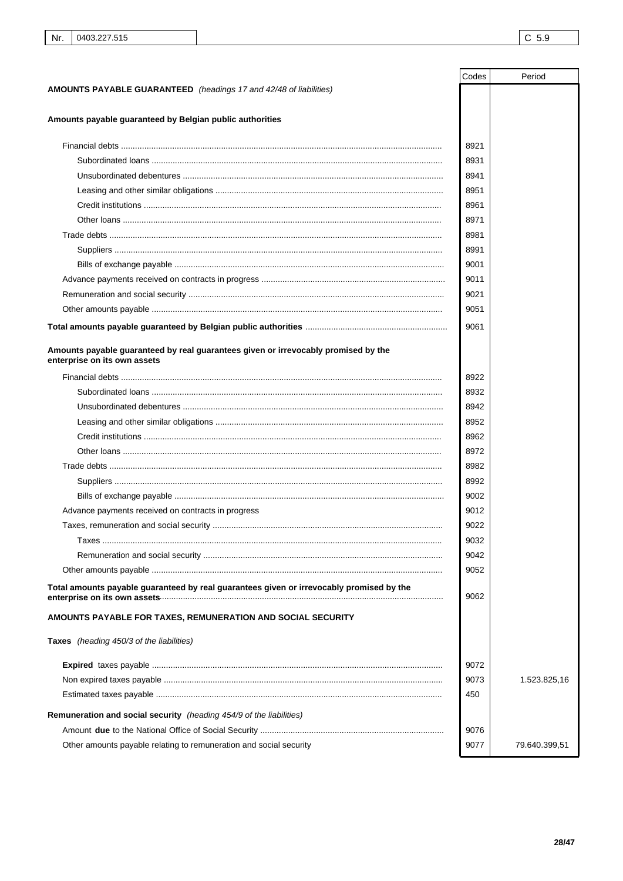|                                                                                                                    | Codes | Period        |
|--------------------------------------------------------------------------------------------------------------------|-------|---------------|
| <b>AMOUNTS PAYABLE GUARANTEED</b> (headings 17 and 42/48 of liabilities)                                           |       |               |
|                                                                                                                    |       |               |
| Amounts payable guaranteed by Belgian public authorities                                                           |       |               |
|                                                                                                                    | 8921  |               |
|                                                                                                                    | 8931  |               |
|                                                                                                                    | 8941  |               |
|                                                                                                                    | 8951  |               |
|                                                                                                                    | 8961  |               |
|                                                                                                                    | 8971  |               |
|                                                                                                                    | 8981  |               |
|                                                                                                                    | 8991  |               |
|                                                                                                                    | 9001  |               |
|                                                                                                                    | 9011  |               |
|                                                                                                                    | 9021  |               |
|                                                                                                                    | 9051  |               |
|                                                                                                                    | 9061  |               |
|                                                                                                                    |       |               |
| Amounts payable guaranteed by real guarantees given or irrevocably promised by the<br>enterprise on its own assets |       |               |
|                                                                                                                    | 8922  |               |
|                                                                                                                    | 8932  |               |
|                                                                                                                    | 8942  |               |
|                                                                                                                    | 8952  |               |
|                                                                                                                    | 8962  |               |
|                                                                                                                    | 8972  |               |
|                                                                                                                    | 8982  |               |
|                                                                                                                    | 8992  |               |
|                                                                                                                    | 9002  |               |
| Advance payments received on contracts in progress                                                                 | 9012  |               |
|                                                                                                                    | 9022  |               |
|                                                                                                                    | 9032  |               |
|                                                                                                                    | 9042  |               |
|                                                                                                                    | 9052  |               |
| Total amounts payable guaranteed by real guarantees given or irrevocably promised by the                           | 9062  |               |
| AMOUNTS PAYABLE FOR TAXES, REMUNERATION AND SOCIAL SECURITY                                                        |       |               |
| Taxes (heading 450/3 of the liabilities)                                                                           |       |               |
|                                                                                                                    | 9072  |               |
|                                                                                                                    | 9073  | 1.523.825,16  |
|                                                                                                                    | 450   |               |
| Remuneration and social security (heading 454/9 of the liabilities)                                                |       |               |
|                                                                                                                    | 9076  |               |
| Other amounts payable relating to remuneration and social security                                                 | 9077  | 79.640.399,51 |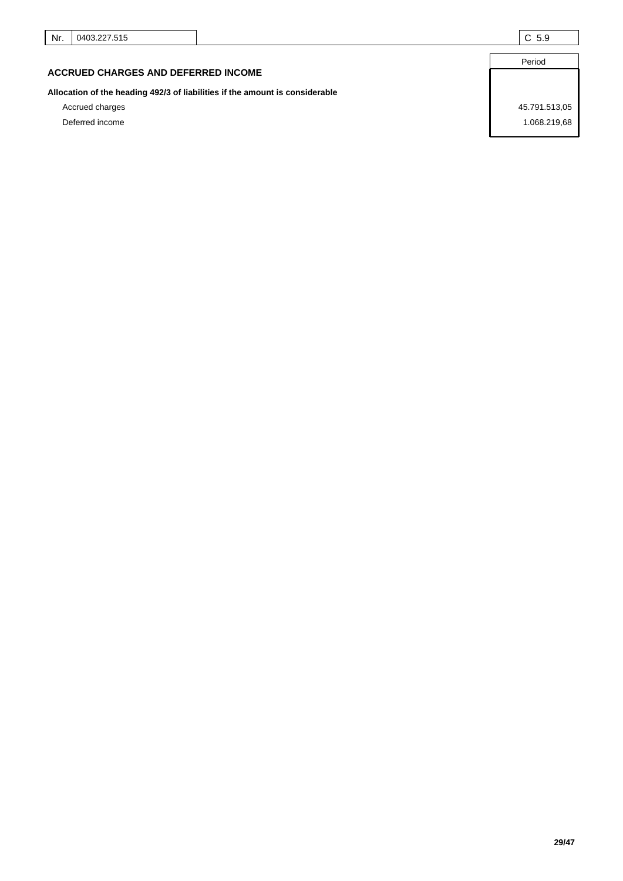Period

# **ACCRUED CHARGES AND DEFERRED INCOME**

# **Allocation of the heading 492/3 of liabilities if the amount is considerable**

Deferred income 1.068.219,68

Accrued charges 45.791.513,05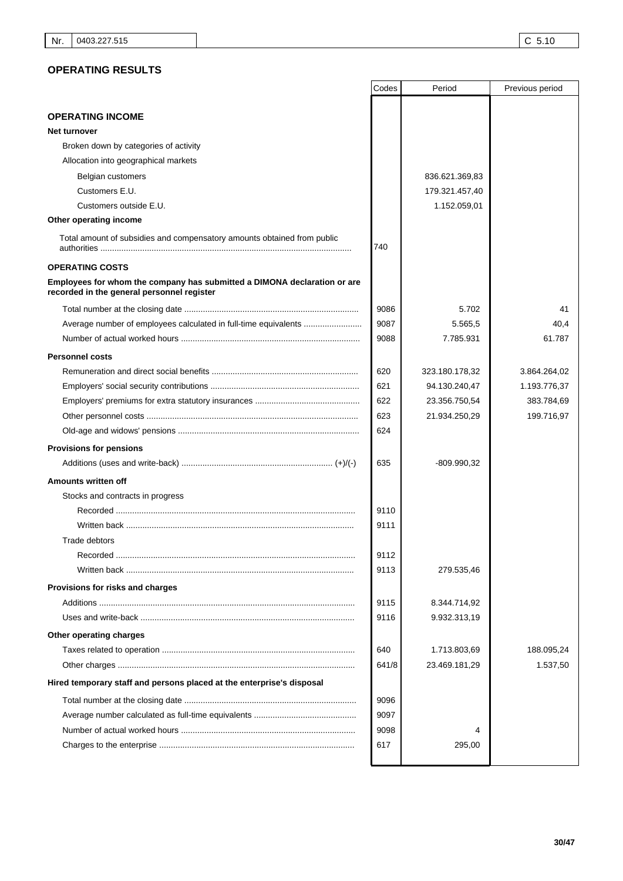# **OPERATING RESULTS**

|                                                                                                                        | Codes | Period         | Previous period |
|------------------------------------------------------------------------------------------------------------------------|-------|----------------|-----------------|
|                                                                                                                        |       |                |                 |
| <b>OPERATING INCOME</b>                                                                                                |       |                |                 |
| Net turnover                                                                                                           |       |                |                 |
| Broken down by categories of activity                                                                                  |       |                |                 |
| Allocation into geographical markets                                                                                   |       |                |                 |
| Belgian customers<br>Customers E.U.                                                                                    |       | 836.621.369,83 |                 |
| Customers outside E.U.                                                                                                 |       | 179.321.457,40 |                 |
| Other operating income                                                                                                 |       | 1.152.059,01   |                 |
|                                                                                                                        |       |                |                 |
| Total amount of subsidies and compensatory amounts obtained from public                                                | 740   |                |                 |
| <b>OPERATING COSTS</b>                                                                                                 |       |                |                 |
| Employees for whom the company has submitted a DIMONA declaration or are<br>recorded in the general personnel register |       |                |                 |
|                                                                                                                        | 9086  | 5.702          | 41              |
| Average number of employees calculated in full-time equivalents                                                        | 9087  | 5.565,5        | 40,4            |
|                                                                                                                        | 9088  | 7.785.931      | 61.787          |
| <b>Personnel costs</b>                                                                                                 |       |                |                 |
|                                                                                                                        | 620   | 323.180.178,32 | 3.864.264,02    |
|                                                                                                                        | 621   | 94.130.240,47  | 1.193.776,37    |
|                                                                                                                        | 622   | 23.356.750,54  | 383.784,69      |
|                                                                                                                        | 623   | 21.934.250,29  | 199.716,97      |
|                                                                                                                        | 624   |                |                 |
| <b>Provisions for pensions</b>                                                                                         |       |                |                 |
|                                                                                                                        | 635   | -809.990,32    |                 |
| Amounts written off                                                                                                    |       |                |                 |
| Stocks and contracts in progress                                                                                       |       |                |                 |
|                                                                                                                        | 9110  |                |                 |
| Written back ……………………………………………………………………………………                                                                          | 9111  |                |                 |
| Trade debtors                                                                                                          |       |                |                 |
|                                                                                                                        | 9112  |                |                 |
|                                                                                                                        | 9113  | 279.535,46     |                 |
| Provisions for risks and charges                                                                                       |       |                |                 |
|                                                                                                                        | 9115  | 8.344.714,92   |                 |
|                                                                                                                        | 9116  | 9.932.313,19   |                 |
| Other operating charges                                                                                                |       |                |                 |
|                                                                                                                        | 640   | 1.713.803,69   | 188.095,24      |
|                                                                                                                        | 641/8 | 23.469.181,29  | 1.537,50        |
| Hired temporary staff and persons placed at the enterprise's disposal                                                  |       |                |                 |
|                                                                                                                        | 9096  |                |                 |
|                                                                                                                        | 9097  |                |                 |
|                                                                                                                        | 9098  | 4              |                 |
|                                                                                                                        | 617   | 295,00         |                 |
|                                                                                                                        |       |                |                 |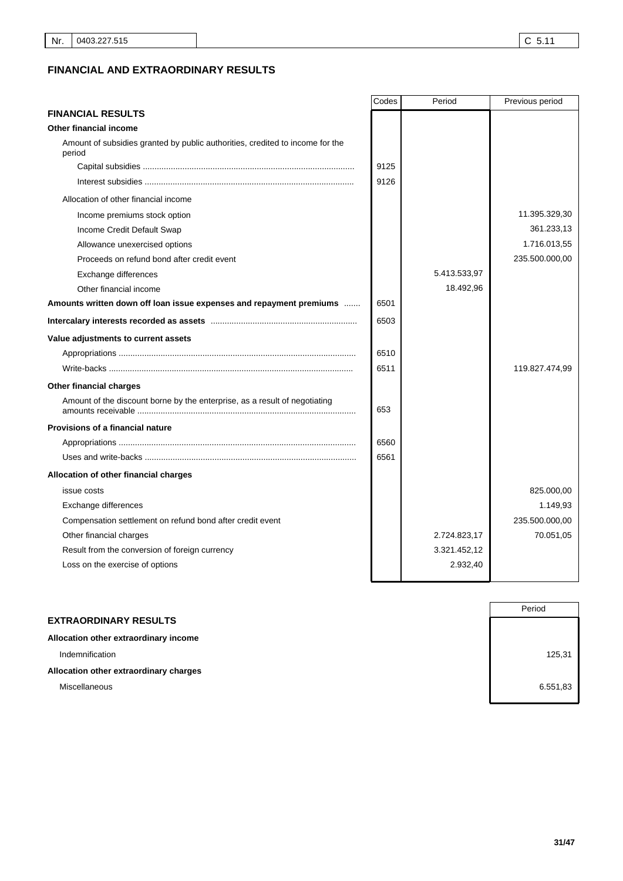# **FINANCIAL AND EXTRAORDINARY RESULTS**

|                                                                                         | Codes | Period       | Previous period |
|-----------------------------------------------------------------------------------------|-------|--------------|-----------------|
| <b>FINANCIAL RESULTS</b>                                                                |       |              |                 |
| <b>Other financial income</b>                                                           |       |              |                 |
| Amount of subsidies granted by public authorities, credited to income for the<br>period |       |              |                 |
|                                                                                         | 9125  |              |                 |
|                                                                                         | 9126  |              |                 |
| Allocation of other financial income                                                    |       |              |                 |
| Income premiums stock option                                                            |       |              | 11.395.329,30   |
| Income Credit Default Swap                                                              |       |              | 361.233,13      |
| Allowance unexercised options                                                           |       |              | 1.716.013,55    |
| Proceeds on refund bond after credit event                                              |       |              | 235.500.000,00  |
| Exchange differences                                                                    |       | 5.413.533,97 |                 |
| Other financial income                                                                  |       | 18.492,96    |                 |
| Amounts written down off loan issue expenses and repayment premiums                     | 6501  |              |                 |
|                                                                                         | 6503  |              |                 |
| Value adjustments to current assets                                                     |       |              |                 |
|                                                                                         | 6510  |              |                 |
|                                                                                         | 6511  |              | 119.827.474,99  |
| Other financial charges                                                                 |       |              |                 |
| Amount of the discount borne by the enterprise, as a result of negotiating              | 653   |              |                 |
| <b>Provisions of a financial nature</b>                                                 |       |              |                 |
|                                                                                         | 6560  |              |                 |
|                                                                                         | 6561  |              |                 |
| Allocation of other financial charges                                                   |       |              |                 |
| issue costs                                                                             |       |              | 825.000,00      |
| Exchange differences                                                                    |       |              | 1.149,93        |
| Compensation settlement on refund bond after credit event                               |       |              | 235.500.000,00  |
| Other financial charges                                                                 |       | 2.724.823,17 | 70.051,05       |
| Result from the conversion of foreign currency                                          |       | 3.321.452,12 |                 |
| Loss on the exercise of options                                                         |       | 2.932,40     |                 |
|                                                                                         |       |              |                 |

|                                        | Period   |
|----------------------------------------|----------|
| <b>EXTRAORDINARY RESULTS</b>           |          |
| Allocation other extraordinary income  |          |
| Indemnification                        | 125,31   |
| Allocation other extraordinary charges |          |
| Miscellaneous                          | 6.551,83 |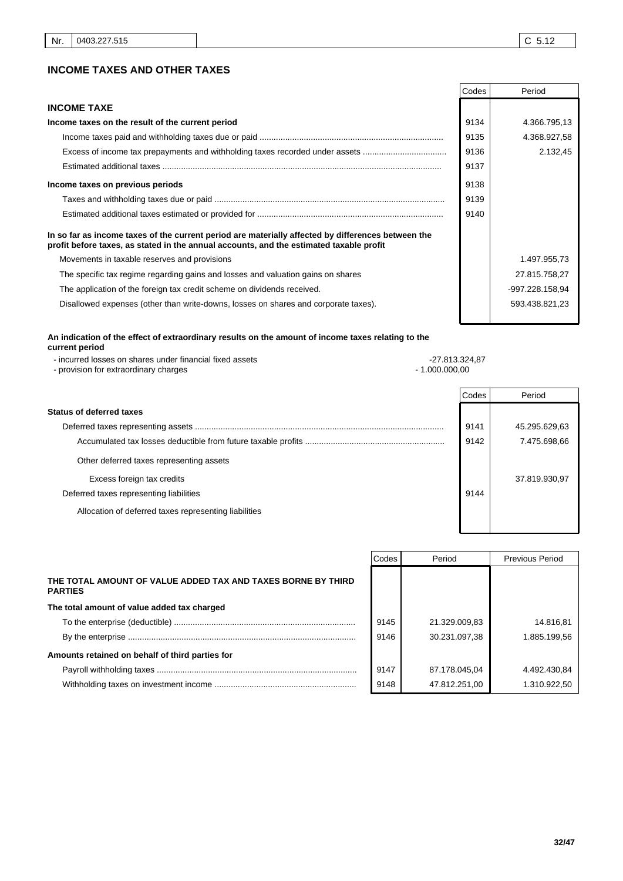# **INCOME TAXES AND OTHER TAXES**

|                                                                                                                                                                                               | Codes | Period          |
|-----------------------------------------------------------------------------------------------------------------------------------------------------------------------------------------------|-------|-----------------|
| <b>INCOME TAXE</b>                                                                                                                                                                            |       |                 |
| Income taxes on the result of the current period                                                                                                                                              | 9134  | 4.366.795,13    |
|                                                                                                                                                                                               | 9135  | 4.368.927,58    |
| Excess of income tax prepayments and withholding taxes recorded under assets                                                                                                                  | 9136  | 2.132,45        |
|                                                                                                                                                                                               | 9137  |                 |
| Income taxes on previous periods                                                                                                                                                              | 9138  |                 |
|                                                                                                                                                                                               | 9139  |                 |
|                                                                                                                                                                                               | 9140  |                 |
| In so far as income taxes of the current period are materially affected by differences between the<br>profit before taxes, as stated in the annual accounts, and the estimated taxable profit |       |                 |
| Movements in taxable reserves and provisions                                                                                                                                                  |       | 1.497.955,73    |
| The specific tax regime regarding gains and losses and valuation gains on shares                                                                                                              |       | 27.815.758,27   |
| The application of the foreign tax credit scheme on dividends received.                                                                                                                       |       | -997.228.158,94 |
| Disallowed expenses (other than write-downs, losses on shares and corporate taxes).                                                                                                           |       | 593.438.821,23  |

#### **An indication of the effect of extraordinary results on the amount of income taxes relating to the current period**

| - incurred losses on shares under financial fixed assets | -27.813.324.87 |
|----------------------------------------------------------|----------------|
| - provision for extraordinary charges                    | - 1.000.000.00 |
|                                                          | <b>Codes</b>   |

| <b>Status of deferred taxes</b>                       |      |               |
|-------------------------------------------------------|------|---------------|
|                                                       | 9141 | 45.295.629,63 |
|                                                       | 9142 | 7.475.698,66  |
| Other deferred taxes representing assets              |      |               |
| Excess foreign tax credits                            |      | 37.819.930,97 |
| Deferred taxes representing liabilities               | 9144 |               |
| Allocation of deferred taxes representing liabilities |      |               |
|                                                       |      |               |

|                                                                                | Codes | Period        | <b>Previous Period</b> |
|--------------------------------------------------------------------------------|-------|---------------|------------------------|
| THE TOTAL AMOUNT OF VALUE ADDED TAX AND TAXES BORNE BY THIRD<br><b>PARTIES</b> |       |               |                        |
| The total amount of value added tax charged                                    |       |               |                        |
|                                                                                | 9145  | 21.329.009,83 | 14.816.81              |
|                                                                                | 9146  | 30.231.097.38 | 1.885.199.56           |
| Amounts retained on behalf of third parties for                                |       |               |                        |
|                                                                                | 9147  | 87.178.045.04 | 4.492.430.84           |
|                                                                                | 9148  | 47.812.251,00 | 1.310.922.50           |

Period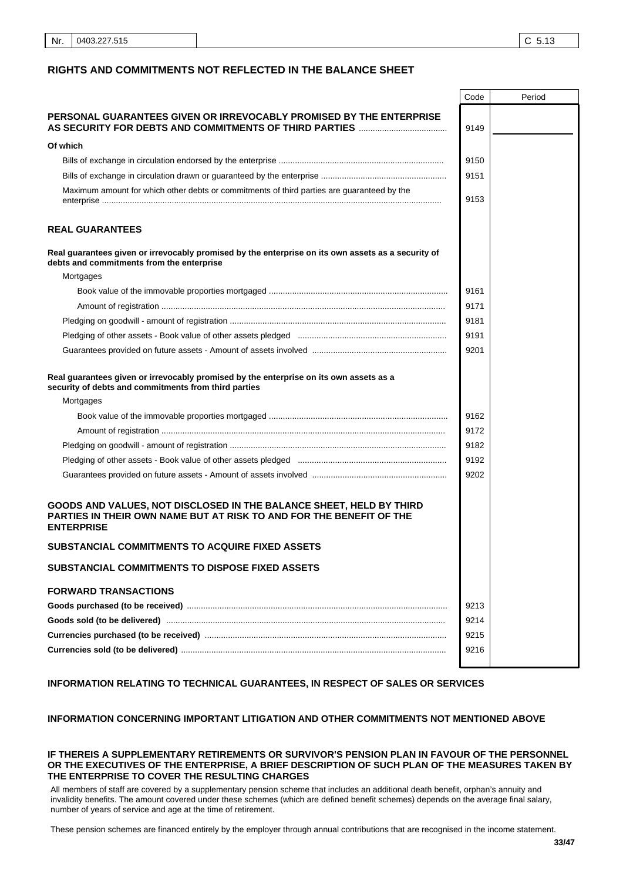#### **RIGHTS AND COMMITMENTS NOT REFLECTED IN THE BALANCE SHEET**

|                                                                                                                                                                 | Code | Period |
|-----------------------------------------------------------------------------------------------------------------------------------------------------------------|------|--------|
| PERSONAL GUARANTEES GIVEN OR IRREVOCABLY PROMISED BY THE ENTERPRISE                                                                                             | 9149 |        |
| Of which                                                                                                                                                        |      |        |
|                                                                                                                                                                 | 9150 |        |
|                                                                                                                                                                 | 9151 |        |
| Maximum amount for which other debts or commitments of third parties are guaranteed by the                                                                      | 9153 |        |
| <b>REAL GUARANTEES</b>                                                                                                                                          |      |        |
| Real guarantees given or irrevocably promised by the enterprise on its own assets as a security of<br>debts and commitments from the enterprise                 |      |        |
| Mortgages                                                                                                                                                       |      |        |
|                                                                                                                                                                 | 9161 |        |
|                                                                                                                                                                 | 9171 |        |
|                                                                                                                                                                 | 9181 |        |
|                                                                                                                                                                 | 9191 |        |
|                                                                                                                                                                 | 9201 |        |
| Real guarantees given or irrevocably promised by the enterprise on its own assets as a<br>security of debts and commitments from third parties                  |      |        |
| Mortgages                                                                                                                                                       |      |        |
|                                                                                                                                                                 | 9162 |        |
|                                                                                                                                                                 | 9172 |        |
|                                                                                                                                                                 | 9182 |        |
|                                                                                                                                                                 | 9192 |        |
|                                                                                                                                                                 | 9202 |        |
| GOODS AND VALUES, NOT DISCLOSED IN THE BALANCE SHEET, HELD BY THIRD<br>PARTIES IN THEIR OWN NAME BUT AT RISK TO AND FOR THE BENEFIT OF THE<br><b>ENTERPRISE</b> |      |        |
| SUBSTANCIAL COMMITMENTS TO ACQUIRE FIXED ASSETS                                                                                                                 |      |        |
| SUBSTANCIAL COMMITMENTS TO DISPOSE FIXED ASSETS                                                                                                                 |      |        |
| <b>FORWARD TRANSACTIONS</b>                                                                                                                                     |      |        |
|                                                                                                                                                                 | 9213 |        |
|                                                                                                                                                                 | 9214 |        |
|                                                                                                                                                                 | 9215 |        |
|                                                                                                                                                                 | 9216 |        |
|                                                                                                                                                                 |      |        |

# **INFORMATION RELATING TO TECHNICAL GUARANTEES, IN RESPECT OF SALES OR SERVICES**

## **INFORMATION CONCERNING IMPORTANT LITIGATION AND OTHER COMMITMENTS NOT MENTIONED ABOVE**

#### **IF THEREIS A SUPPLEMENTARY RETIREMENTS OR SURVIVOR'S PENSION PLAN IN FAVOUR OF THE PERSONNEL OR THE EXECUTIVES OF THE ENTERPRISE, A BRIEF DESCRIPTION OF SUCH PLAN OF THE MEASURES TAKEN BY THE ENTERPRISE TO COVER THE RESULTING CHARGES**

All members of staff are covered by a supplementary pension scheme that includes an additional death benefit, orphan's annuity and invalidity benefits. The amount covered under these schemes (which are defined benefit schemes) depends on the average final salary, number of years of service and age at the time of retirement. 

These pension schemes are financed entirely by the employer through annual contributions that are recognised in the income statement.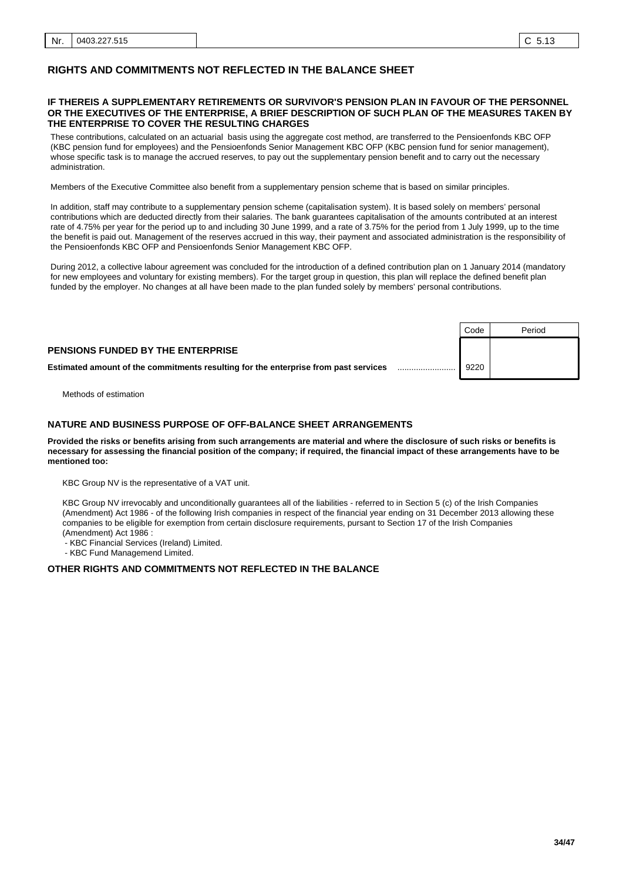#### **IF THEREIS A SUPPLEMENTARY RETIREMENTS OR SURVIVOR'S PENSION PLAN IN FAVOUR OF THE PERSONNEL OR THE EXECUTIVES OF THE ENTERPRISE, A BRIEF DESCRIPTION OF SUCH PLAN OF THE MEASURES TAKEN BY THE ENTERPRISE TO COVER THE RESULTING CHARGES**

These contributions, calculated on an actuarial basis using the aggregate cost method, are transferred to the Pensioenfonds KBC OFP (KBC pension fund for employees) and the Pensioenfonds Senior Management KBC OFP (KBC pension fund for senior management), whose specific task is to manage the accrued reserves, to pay out the supplementary pension benefit and to carry out the necessary administration. 

Members of the Executive Committee also benefit from a supplementary pension scheme that is based on similar principles. 

In addition, staff may contribute to a supplementary pension scheme (capitalisation system). It is based solely on members' personal contributions which are deducted directly from their salaries. The bank guarantees capitalisation of the amounts contributed at an interest rate of 4.75% per year for the period up to and including 30 June 1999, and a rate of 3.75% for the period from 1 July 1999, up to the time the benefit is paid out. Management of the reserves accrued in this way, their payment and associated administration is the responsibility of the Pensioenfonds KBC OFP and Pensioenfonds Senior Management KBC OFP. 

During 2012, a collective labour agreement was concluded for the introduction of a defined contribution plan on 1 January 2014 (mandatory for new employees and voluntary for existing members). For the target group in question, this plan will replace the defined benefit plan funded by the employer. No changes at all have been made to the plan funded solely by members' personal contributions. 

|                                                                                     | Code | Period |
|-------------------------------------------------------------------------------------|------|--------|
| <b>PENSIONS FUNDED BY THE ENTERPRISE</b>                                            |      |        |
| Estimated amount of the commitments resulting for the enterprise from past services | 9220 |        |

Methods of estimation

#### $\mathbf{r}$ .. **NATURE AND BUSINESS PURPOSE OF OFF-BALANCE SHEET ARRANGEMENTS**

**Provided the risks or benefits arising from such arrangements are material and where the disclosure of such risks or benefits is necessary for assessing the financial position of the company; if required, the financial impact of these arrangements have to be mentioned too:**

KBC Group NV is the representative of a VAT unit.

KBC Group NV irrevocably and unconditionally guarantees all of the liabilities - referred to in Section 5 (c) of the Irish Companies (Amendment) Act 1986 - of the following Irish companies in respect of the financial year ending on 31 December 2013 allowing these companies to be eligible for exemption from certain disclosure requirements, pursant to Section 17 of the Irish Companies (Amendment) Act 1986 :

- KBC Financial Services (Ireland) Limited.

- KBC Fund Managemend Limited.

#### **OTHER RIGHTS AND COMMITMENTS NOT REFLECTED IN THE BALANCE**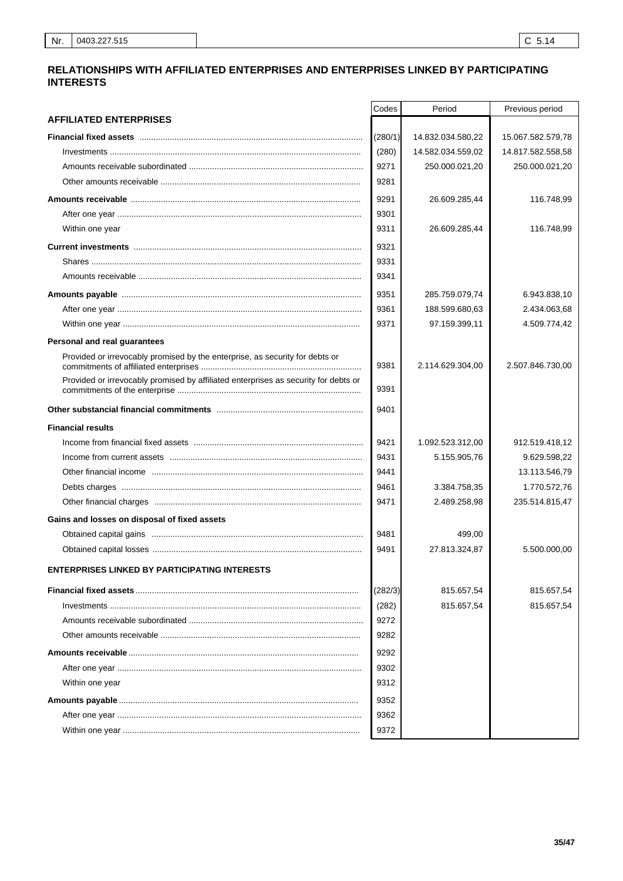# RELATIONSHIPS WITH AFFILIATED ENTERPRISES AND ENTERPRISES LINKED BY PARTICIPATING **INTERESTS**

|                                                                                     | Codes   | Period            | Previous period   |
|-------------------------------------------------------------------------------------|---------|-------------------|-------------------|
| <b>AFFILIATED ENTERPRISES</b>                                                       |         |                   |                   |
| Financial fixed assets www.communication.com/www.communical.com/www.com/www.com     | (280/1) | 14.832.034.580,22 | 15.067.582.579,78 |
|                                                                                     | (280)   | 14.582.034.559,02 | 14.817.582.558,58 |
|                                                                                     | 9271    | 250.000.021,20    | 250.000.021,20    |
|                                                                                     | 9281    |                   |                   |
|                                                                                     | 9291    | 26.609.285,44     | 116.748,99        |
|                                                                                     | 9301    |                   |                   |
| Within one year                                                                     | 9311    | 26.609.285,44     | 116.748,99        |
|                                                                                     | 9321    |                   |                   |
|                                                                                     | 9331    |                   |                   |
|                                                                                     | 9341    |                   |                   |
|                                                                                     | 9351    | 285.759.079,74    | 6.943.838,10      |
|                                                                                     | 9361    | 188.599.680,63    | 2.434.063,68      |
|                                                                                     | 9371    | 97.159.399,11     | 4.509.774,42      |
| Personal and real guarantees                                                        |         |                   |                   |
| Provided or irrevocably promised by the enterprise, as security for debts or        |         |                   |                   |
| Provided or irrevocably promised by affiliated enterprises as security for debts or | 9381    | 2.114.629.304,00  | 2.507.846.730,00  |
|                                                                                     | 9391    |                   |                   |
|                                                                                     | 9401    |                   |                   |
| <b>Financial results</b>                                                            |         |                   |                   |
|                                                                                     | 9421    | 1.092.523.312,00  | 912.519.418,12    |
|                                                                                     | 9431    | 5.155.905,76      | 9.629.598,22      |
|                                                                                     | 9441    |                   | 13.113.546,79     |
|                                                                                     | 9461    | 3.384.758,35      | 1.770.572,76      |
|                                                                                     | 9471    | 2.489.258,98      | 235.514.815,47    |
| Gains and losses on disposal of fixed assets                                        |         |                   |                   |
|                                                                                     | 9481    | 499,00            |                   |
|                                                                                     | 9491    | 27.813.324,87     | 5.500.000,00      |
| <b>ENTERPRISES LINKED BY PARTICIPATING INTERESTS</b>                                |         |                   |                   |
|                                                                                     | (282/3) | 815.657,54        | 815.657,54        |
|                                                                                     | (282)   | 815.657,54        | 815.657,54        |
|                                                                                     | 9272    |                   |                   |
|                                                                                     | 9282    |                   |                   |
|                                                                                     | 9292    |                   |                   |
|                                                                                     | 9302    |                   |                   |
| Within one year                                                                     | 9312    |                   |                   |
|                                                                                     | 9352    |                   |                   |
|                                                                                     | 9362    |                   |                   |
|                                                                                     | 9372    |                   |                   |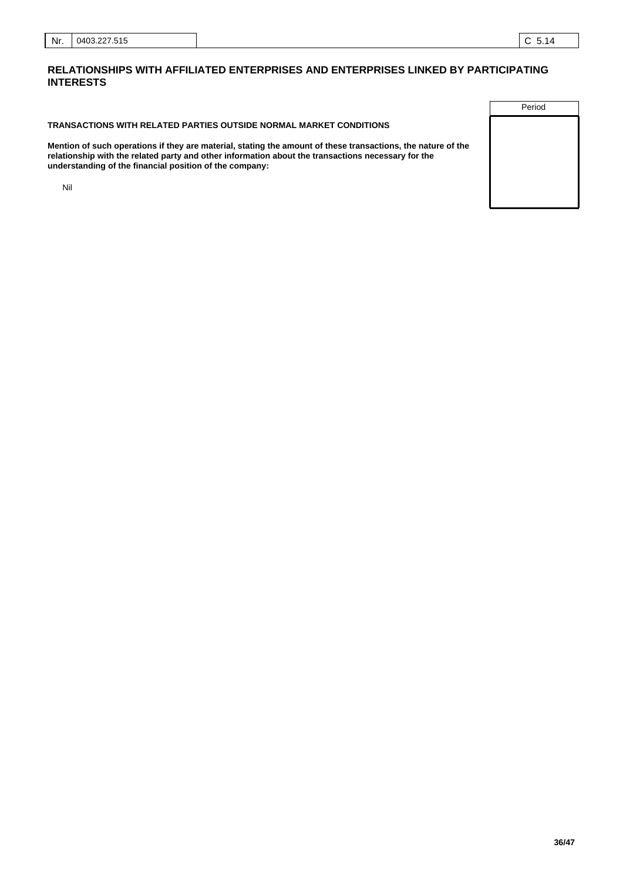#### **TRANSACTIONS WITH RELATED PARTIES OUTSIDE NORMAL MARKET CONDITIONS**

**Mention of such operations if they are material, stating the amount of these transactions, the nature of the relationship with the related party and other information about the transactions necessary for the understanding of the financial position of the company:**

Nil

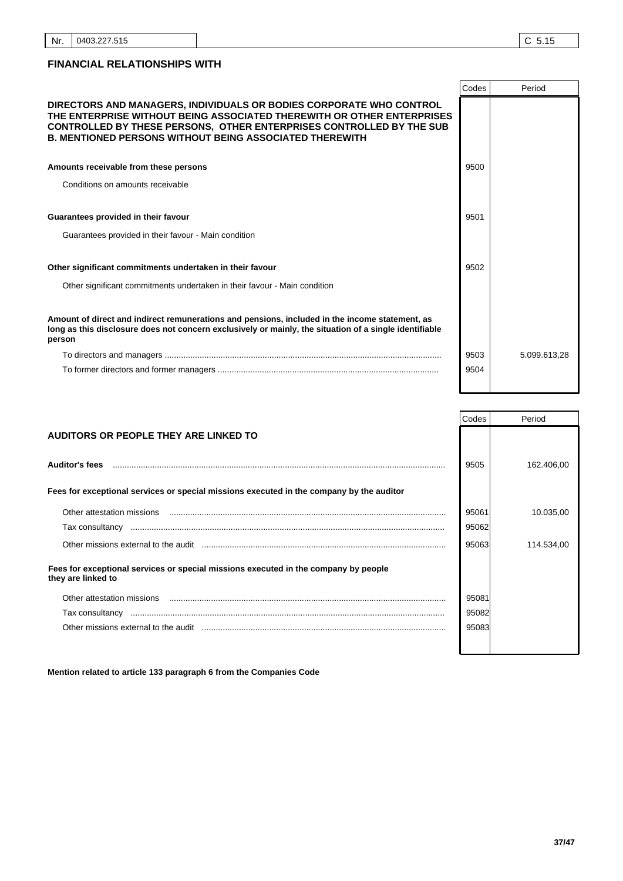|                                                                                                                                                                                                                                                                                                | Codes | Period       |
|------------------------------------------------------------------------------------------------------------------------------------------------------------------------------------------------------------------------------------------------------------------------------------------------|-------|--------------|
| DIRECTORS AND MANAGERS, INDIVIDUALS OR BODIES CORPORATE WHO CONTROL<br>THE ENTERPRISE WITHOUT BEING ASSOCIATED THEREWITH OR OTHER ENTERPRISES<br><b>CONTROLLED BY THESE PERSONS, OTHER ENTERPRISES CONTROLLED BY THE SUB</b><br><b>B. MENTIONED PERSONS WITHOUT BEING ASSOCIATED THEREWITH</b> |       |              |
| Amounts receivable from these persons                                                                                                                                                                                                                                                          | 9500  |              |
| Conditions on amounts receivable                                                                                                                                                                                                                                                               |       |              |
| Guarantees provided in their favour                                                                                                                                                                                                                                                            | 9501  |              |
| Guarantees provided in their favour - Main condition                                                                                                                                                                                                                                           |       |              |
| Other significant commitments undertaken in their favour                                                                                                                                                                                                                                       | 9502  |              |
| Other significant commitments undertaken in their favour - Main condition                                                                                                                                                                                                                      |       |              |
| Amount of direct and indirect remunerations and pensions, included in the income statement, as<br>long as this disclosure does not concern exclusively or mainly, the situation of a single identifiable<br>person                                                                             |       |              |
|                                                                                                                                                                                                                                                                                                | 9503  | 5.099.613.28 |
|                                                                                                                                                                                                                                                                                                | 9504  |              |

|                                                                                                           | Codes | Period     |
|-----------------------------------------------------------------------------------------------------------|-------|------------|
| AUDITORS OR PEOPLE THEY ARE LINKED TO                                                                     |       |            |
|                                                                                                           |       |            |
| <b>Auditor's fees</b>                                                                                     | 9505  | 162.406,00 |
|                                                                                                           |       |            |
| Fees for exceptional services or special missions executed in the company by the auditor                  |       |            |
| Other attestation missions                                                                                | 95061 | 10.035,00  |
| Tax consultancy                                                                                           | 95062 |            |
|                                                                                                           | 95063 | 114.534,00 |
| Fees for exceptional services or special missions executed in the company by people<br>they are linked to |       |            |
| Other attestation missions                                                                                | 95081 |            |
| Tax consultancy                                                                                           | 95082 |            |
| Other missions external to the audit                                                                      | 95083 |            |
|                                                                                                           |       |            |

**Mention related to article 133 paragraph 6 from the Companies Code**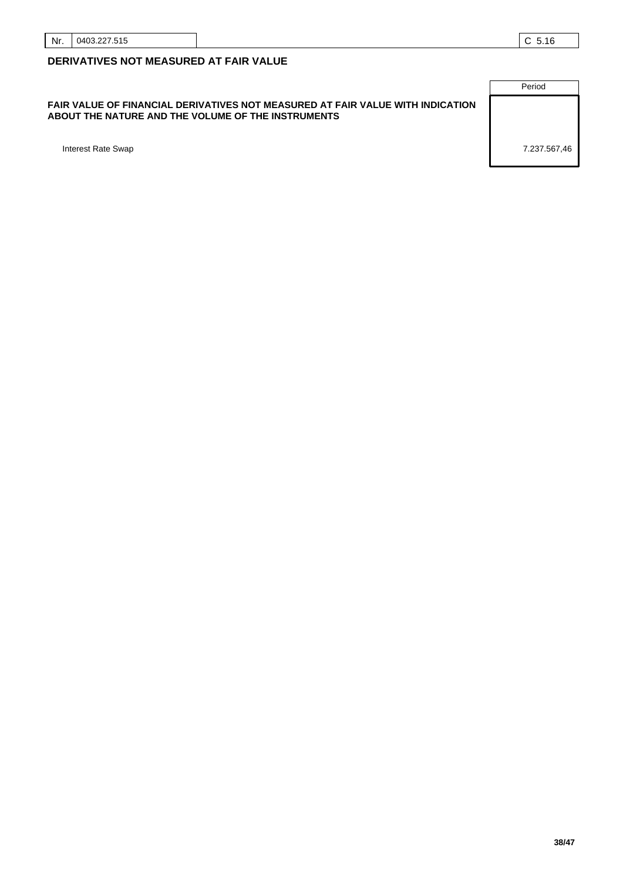#### **FAIR VALUE OF FINANCIAL DERIVATIVES NOT MEASURED AT FAIR VALUE WITH INDICATION ABOUT THE NATURE AND THE VOLUME OF THE INSTRUMENTS**

Period Interest Rate Swap 7.237.567,46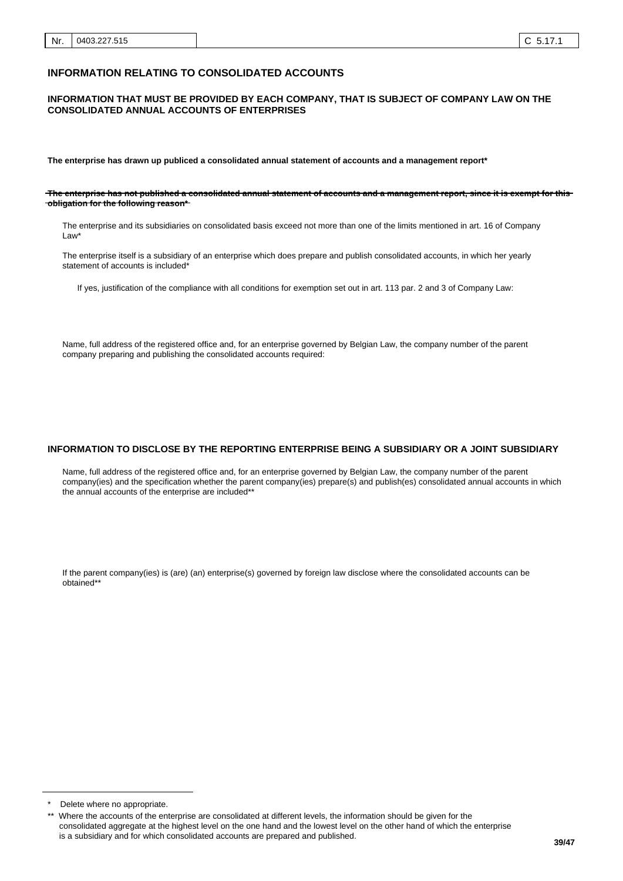#### **INFORMATION RELATING TO CONSOLIDATED ACCOUNTS**

#### **INFORMATION THAT MUST BE PROVIDED BY EACH COMPANY, THAT IS SUBJECT OF COMPANY LAW ON THE CONSOLIDATED ANNUAL ACCOUNTS OF ENTERPRISES**

**The enterprise has drawn up publiced a consolidated annual statement of accounts and a management report\***

**The enterprise has not published a consolidated annual statement of accounts and a management report, since it is exempt for this obligation for the following reason\***

The enterprise and its subsidiaries on consolidated basis exceed not more than one of the limits mentioned in art. 16 of Company Law\*

The enterprise itself is a subsidiary of an enterprise which does prepare and publish consolidated accounts, in which her yearly statement of accounts is included\*

If yes, justification of the compliance with all conditions for exemption set out in art. 113 par. 2 and 3 of Company Law:

Name, full address of the registered office and, for an enterprise governed by Belgian Law, the company number of the parent company preparing and publishing the consolidated accounts required:

#### **INFORMATION TO DISCLOSE BY THE REPORTING ENTERPRISE BEING A SUBSIDIARY OR A JOINT SUBSIDIARY**

Name, full address of the registered office and, for an enterprise governed by Belgian Law, the company number of the parent company(ies) and the specification whether the parent company(ies) prepare(s) and publish(es) consolidated annual accounts in which the annual accounts of the enterprise are included\*\*

If the parent company(ies) is (are) (an) enterprise(s) governed by foreign law disclose where the consolidated accounts can be obtained\*\*

Delete where no appropriate.

Where the accounts of the enterprise are consolidated at different levels, the information should be given for the consolidated aggregate at the highest level on the one hand and the lowest level on the other hand of which the enterprise is a subsidiary and for which consolidated accounts are prepared and published.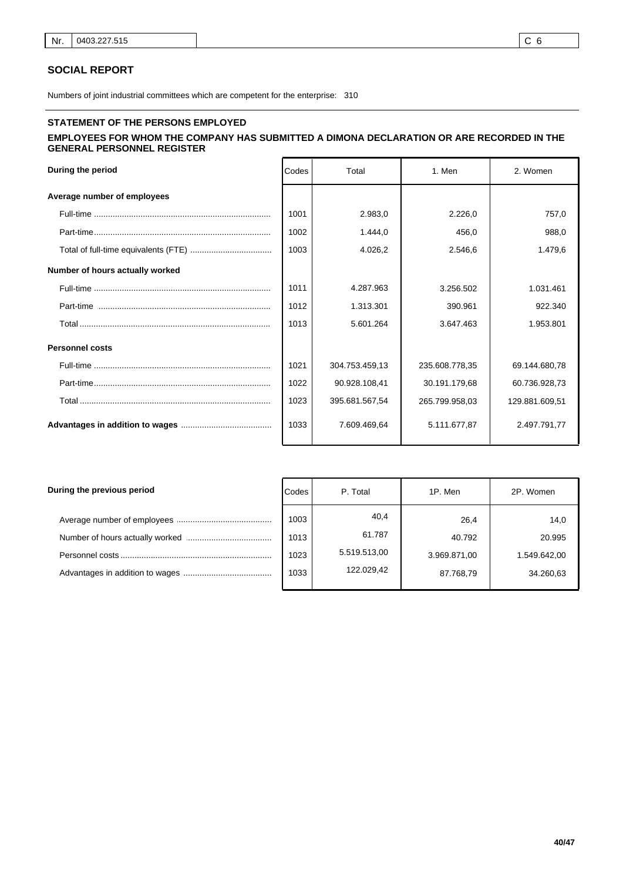## **SOCIAL REPORT**

Numbers of joint industrial committees which are competent for the enterprise: 310

# **STATEMENT OF THE PERSONS EMPLOYED**

# **EMPLOYEES FOR WHOM THE COMPANY HAS SUBMITTED A DIMONA DECLARATION OR ARE RECORDED IN THE GENERAL PERSONNEL REGISTER**

| During the period               | Codes | Total          | 1. Men         |                |
|---------------------------------|-------|----------------|----------------|----------------|
| Average number of employees     |       |                |                |                |
|                                 | 1001  | 2.983.0        | 2.226.0        | 757,0          |
|                                 | 1002  | 1.444.0        | 456.0          | 988.0          |
|                                 | 1003  | 4.026,2        | 2.546,6        | 1.479,6        |
| Number of hours actually worked |       |                |                |                |
|                                 | 1011  | 4.287.963      | 3.256.502      | 1.031.461      |
|                                 | 1012  | 1.313.301      | 390.961        | 922.340        |
|                                 | 1013  | 5.601.264      | 3.647.463      | 1.953.801      |
| <b>Personnel costs</b>          |       |                |                |                |
|                                 | 1021  | 304.753.459.13 | 235.608.778.35 | 69.144.680.78  |
|                                 | 1022  | 90.928.108,41  | 30.191.179,68  | 60.736.928,73  |
|                                 | 1023  | 395.681.567,54 | 265.799.958,03 | 129.881.609,51 |
|                                 | 1033  | 7.609.469.64   | 5.111.677,87   | 2.497.791.77   |

| During the previous period | Codes | P. Total     | 1P. Men      | 2P. Women    |
|----------------------------|-------|--------------|--------------|--------------|
|                            | 1003  | 40,4         | 26,4         | 14,0         |
|                            | 1013  | 61.787       | 40.792       | 20.995       |
|                            | 1023  | 5.519.513,00 | 3.969.871,00 | 1.549.642,00 |
|                            | 1033  | 122.029.42   | 87.768,79    | 34.260,63    |
|                            |       |              |              |              |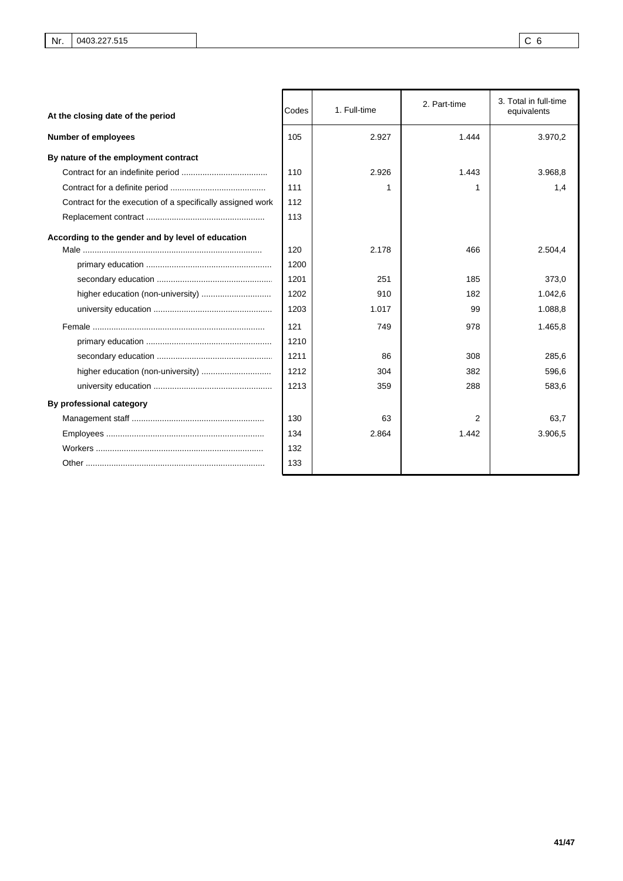| At the closing date of the period                          | Codes | 1. Full-time | 2. Part-time | 3. Total in full-time<br>equivalents |  |
|------------------------------------------------------------|-------|--------------|--------------|--------------------------------------|--|
| <b>Number of employees</b>                                 | 105   | 2.927        | 1.444        | 3.970,2                              |  |
| By nature of the employment contract                       |       |              |              |                                      |  |
|                                                            | 110   | 2.926        | 1.443        | 3.968.8                              |  |
|                                                            | 111   |              | 1            | 1,4                                  |  |
| Contract for the execution of a specifically assigned work | 112   |              |              |                                      |  |
|                                                            | 113   |              |              |                                      |  |
| According to the gender and by level of education          | 120   | 2.178        | 466          | 2.504,4                              |  |
|                                                            | 1200  |              |              |                                      |  |
|                                                            | 1201  | 251          | 185          | 373.0                                |  |
|                                                            | 1202  | 910          | 182          | 1.042,6                              |  |
|                                                            | 1203  | 1.017        | 99           | 1.088,8                              |  |
|                                                            | 121   | 749          | 978          | 1.465,8                              |  |
|                                                            | 1210  |              |              |                                      |  |
|                                                            | 1211  | 86           | 308          | 285,6                                |  |
|                                                            | 1212  | 304          | 382          | 596,6                                |  |
|                                                            | 1213  | 359          | 288          | 583,6                                |  |
| By professional category                                   |       |              |              |                                      |  |
|                                                            | 130   | 63           | 2            | 63.7                                 |  |
|                                                            | 134   | 2.864        | 1.442        | 3.906,5                              |  |
|                                                            | 132   |              |              |                                      |  |
|                                                            | 133   |              |              |                                      |  |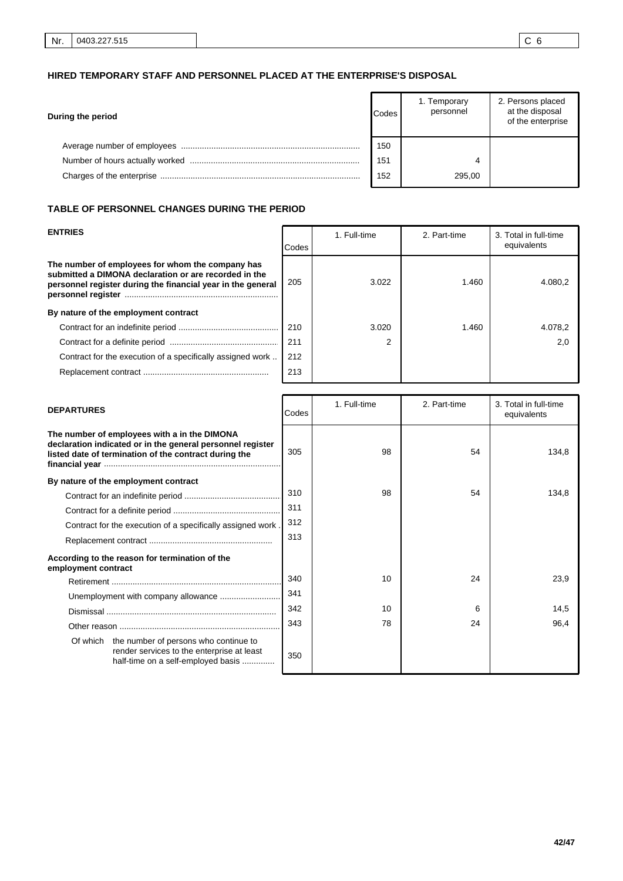# **HIRED TEMPORARY STAFF AND PERSONNEL PLACED AT THE ENTERPRISE'S DISPOSAL**

| During the period | <b>Codes</b> | 1. Temporary<br>personnel | 2. Persons placed<br>at the disposal<br>of the enterprise |
|-------------------|--------------|---------------------------|-----------------------------------------------------------|
|                   | 150          |                           |                                                           |
|                   | 151          |                           |                                                           |
|                   | 152          | 295,00                    |                                                           |

# **TABLE OF PERSONNEL CHANGES DURING THE PERIOD**

| <b>ENTRIES</b>                                                                                                                                                           | Codes | 2. Part-time<br>1. Full-time |       | 3. Total in full-time<br>equivalents |
|--------------------------------------------------------------------------------------------------------------------------------------------------------------------------|-------|------------------------------|-------|--------------------------------------|
| The number of employees for whom the company has<br>submitted a DIMONA declaration or are recorded in the<br>personnel register during the financial year in the general | 205   | 3.022                        | 1.460 | 4.080.2                              |
| By nature of the employment contract                                                                                                                                     |       |                              |       |                                      |
|                                                                                                                                                                          | 210   | 3.020                        | 1.460 | 4.078,2                              |
|                                                                                                                                                                          | 211   | 2                            |       | 2.0                                  |
| Contract for the execution of a specifically assigned work                                                                                                               | 212   |                              |       |                                      |
|                                                                                                                                                                          | 213   |                              |       |                                      |

| <b>DEPARTURES</b>                                                                                                                                                   | Codes | 1. Full-time<br>2. Part-time |    | 3. Total in full-time<br>equivalents |  |
|---------------------------------------------------------------------------------------------------------------------------------------------------------------------|-------|------------------------------|----|--------------------------------------|--|
| The number of employees with a in the DIMONA<br>declaration indicated or in the general personnel register<br>listed date of termination of the contract during the | 305   | 98                           | 54 | 134,8                                |  |
| By nature of the employment contract                                                                                                                                |       |                              |    |                                      |  |
|                                                                                                                                                                     | 310   | 98                           | 54 | 134,8                                |  |
|                                                                                                                                                                     | 311   |                              |    |                                      |  |
| Contract for the execution of a specifically assigned work.                                                                                                         | 312   |                              |    |                                      |  |
|                                                                                                                                                                     | 313   |                              |    |                                      |  |
| According to the reason for termination of the<br>employment contract                                                                                               |       |                              |    |                                      |  |
|                                                                                                                                                                     | 340   | 10                           | 24 | 23,9                                 |  |
|                                                                                                                                                                     | 341   |                              |    |                                      |  |
|                                                                                                                                                                     | 342   | 10                           | 6  | 14,5                                 |  |
|                                                                                                                                                                     | 343   | 78                           | 24 | 96,4                                 |  |
| Of which the number of persons who continue to<br>render services to the enterprise at least<br>half-time on a self-employed basis                                  | 350   |                              |    |                                      |  |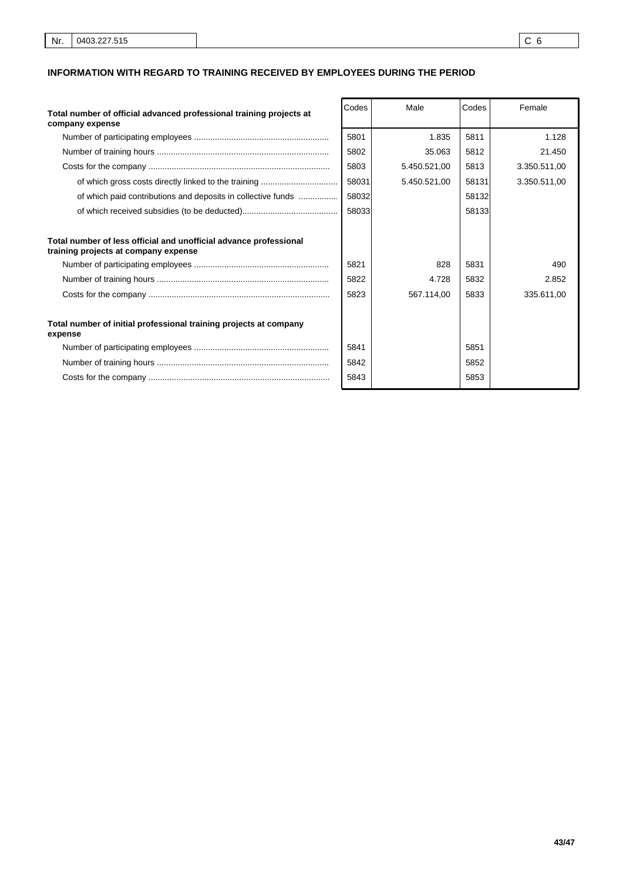# **INFORMATION WITH REGARD TO TRAINING RECEIVED BY EMPLOYEES DURING THE PERIOD**

| Total number of official advanced professional training projects at<br>company expense                    | Codes | Male         | Codes | Female       |
|-----------------------------------------------------------------------------------------------------------|-------|--------------|-------|--------------|
|                                                                                                           | 5801  | 1.835        | 5811  | 1.128        |
|                                                                                                           | 5802  | 35.063       | 5812  | 21.450       |
|                                                                                                           | 5803  | 5.450.521,00 | 5813  | 3.350.511,00 |
|                                                                                                           | 58031 | 5.450.521.00 | 58131 | 3.350.511,00 |
| of which paid contributions and deposits in collective funds                                              | 58032 |              | 58132 |              |
|                                                                                                           | 58033 |              | 58133 |              |
|                                                                                                           |       |              |       |              |
| Total number of less official and unofficial advance professional<br>training projects at company expense |       |              |       |              |
|                                                                                                           | 5821  | 828          | 5831  | 490          |
|                                                                                                           | 5822  | 4.728        | 5832  | 2.852        |
|                                                                                                           | 5823  | 567.114.00   | 5833  | 335.611.00   |
|                                                                                                           |       |              |       |              |
| Total number of initial professional training projects at company<br>expense                              |       |              |       |              |
|                                                                                                           | 5841  |              | 5851  |              |
|                                                                                                           | 5842  |              | 5852  |              |
|                                                                                                           | 5843  |              | 5853  |              |
|                                                                                                           |       |              |       |              |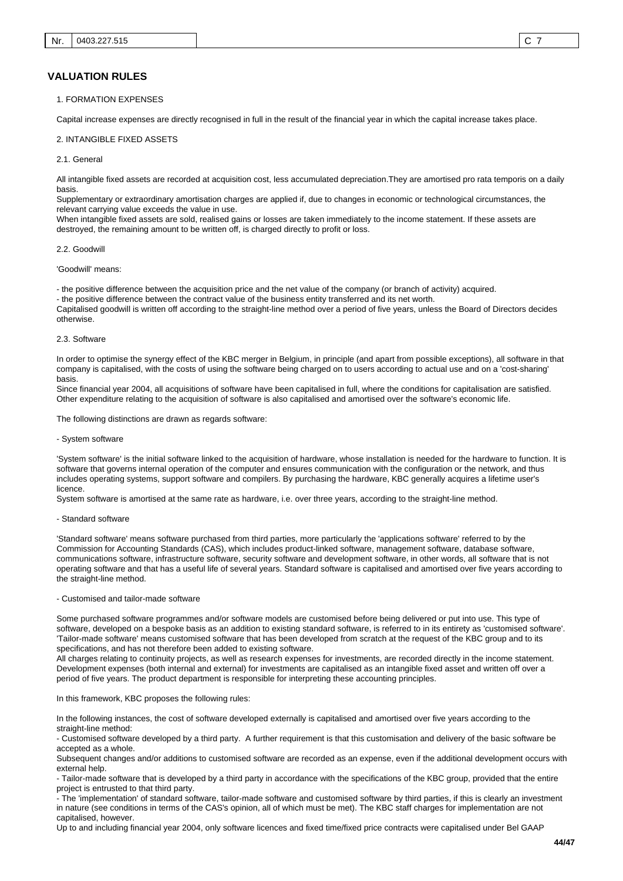#### 1. FORMATION EXPENSES

Capital increase expenses are directly recognised in full in the result of the financial year in which the capital increase takes place.

#### 2. INTANGIBLE FIXED ASSETS

#### 2.1. General

All intangible fixed assets are recorded at acquisition cost, less accumulated depreciation.They are amortised pro rata temporis on a daily basis.

Supplementary or extraordinary amortisation charges are applied if, due to changes in economic or technological circumstances, the relevant carrying value exceeds the value in use.

When intangible fixed assets are sold, realised gains or losses are taken immediately to the income statement. If these assets are destroyed, the remaining amount to be written off, is charged directly to profit or loss.

#### 2.2. Goodwill

#### 'Goodwill' means:

- the positive difference between the acquisition price and the net value of the company (or branch of activity) acquired.

- the positive difference between the contract value of the business entity transferred and its net worth.

Capitalised goodwill is written off according to the straight-line method over a period of five years, unless the Board of Directors decides otherwise.

#### 2.3. Software

In order to optimise the synergy effect of the KBC merger in Belgium, in principle (and apart from possible exceptions), all software in that company is capitalised, with the costs of using the software being charged on to users according to actual use and on a 'cost-sharing' basis.

Since financial year 2004, all acquisitions of software have been capitalised in full, where the conditions for capitalisation are satisfied. Other expenditure relating to the acquisition of software is also capitalised and amortised over the software's economic life.

The following distinctions are drawn as regards software:

#### - System software

'System software' is the initial software linked to the acquisition of hardware, whose installation is needed for the hardware to function. It is software that governs internal operation of the computer and ensures communication with the configuration or the network, and thus includes operating systems, support software and compilers. By purchasing the hardware, KBC generally acquires a lifetime user's licence.

System software is amortised at the same rate as hardware, i.e. over three years, according to the straight-line method.

#### - Standard software

'Standard software' means software purchased from third parties, more particularly the 'applications software' referred to by the Commission for Accounting Standards (CAS), which includes product-linked software, management software, database software, communications software, infrastructure software, security software and development software, in other words, all software that is not operating software and that has a useful life of several years. Standard software is capitalised and amortised over five years according to the straight-line method.

#### - Customised and tailor-made software

Some purchased software programmes and/or software models are customised before being delivered or put into use. This type of software, developed on a bespoke basis as an addition to existing standard software, is referred to in its entirety as 'customised software'. 'Tailor-made software' means customised software that has been developed from scratch at the request of the KBC group and to its specifications, and has not therefore been added to existing software.

All charges relating to continuity projects, as well as research expenses for investments, are recorded directly in the income statement. Development expenses (both internal and external) for investments are capitalised as an intangible fixed asset and written off over a period of five years. The product department is responsible for interpreting these accounting principles.

#### In this framework, KBC proposes the following rules:

In the following instances, the cost of software developed externally is capitalised and amortised over five years according to the straight-line method:

- Customised software developed by a third party. A further requirement is that this customisation and delivery of the basic software be accepted as a whole.

Subsequent changes and/or additions to customised software are recorded as an expense, even if the additional development occurs with external help.

- Tailor-made software that is developed by a third party in accordance with the specifications of the KBC group, provided that the entire project is entrusted to that third party.

- The 'implementation' of standard software, tailor-made software and customised software by third parties, if this is clearly an investment in nature (see conditions in terms of the CAS's opinion, all of which must be met). The KBC staff charges for implementation are not capitalised, however.

Up to and including financial year 2004, only software licences and fixed time/fixed price contracts were capitalised under Bel GAAP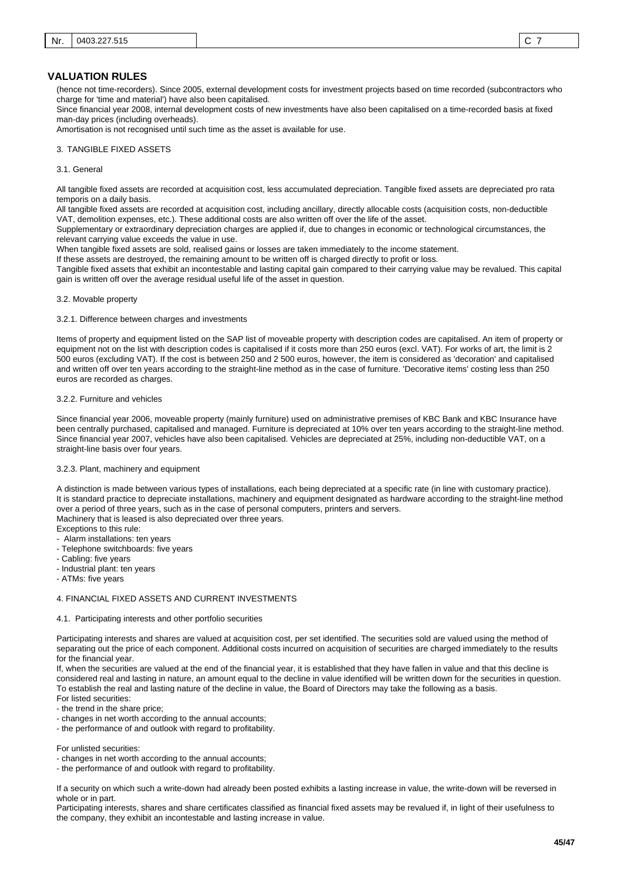(hence not time-recorders). Since 2005, external development costs for investment projects based on time recorded (subcontractors who charge for 'time and material') have also been capitalised.

Since financial year 2008, internal development costs of new investments have also been capitalised on a time-recorded basis at fixed man-day prices (including overheads).

Amortisation is not recognised until such time as the asset is available for use.

### 3. TANGIBLE FIXED ASSETS

#### 3.1. General

All tangible fixed assets are recorded at acquisition cost, less accumulated depreciation. Tangible fixed assets are depreciated pro rata temporis on a daily basis.

All tangible fixed assets are recorded at acquisition cost, including ancillary, directly allocable costs (acquisition costs, non-deductible VAT, demolition expenses, etc.). These additional costs are also written off over the life of the asset.

Supplementary or extraordinary depreciation charges are applied if, due to changes in economic or technological circumstances, the relevant carrying value exceeds the value in use.

When tangible fixed assets are sold, realised gains or losses are taken immediately to the income statement.

If these assets are destroyed, the remaining amount to be written off is charged directly to profit or loss.

Tangible fixed assets that exhibit an incontestable and lasting capital gain compared to their carrying value may be revalued. This capital gain is written off over the average residual useful life of the asset in question.

#### 3.2. Movable property

#### 3.2.1. Difference between charges and investments

Items of property and equipment listed on the SAP list of moveable property with description codes are capitalised. An item of property or equipment not on the list with description codes is capitalised if it costs more than 250 euros (excl. VAT). For works of art, the limit is 2 500 euros (excluding VAT). If the cost is between 250 and 2 500 euros, however, the item is considered as 'decoration' and capitalised and written off over ten years according to the straight-line method as in the case of furniture. 'Decorative items' costing less than 250 euros are recorded as charges.

#### 3.2.2. Furniture and vehicles

Since financial year 2006, moveable property (mainly furniture) used on administrative premises of KBC Bank and KBC Insurance have been centrally purchased, capitalised and managed. Furniture is depreciated at 10% over ten years according to the straight-line method. Since financial year 2007, vehicles have also been capitalised. Vehicles are depreciated at 25%, including non-deductible VAT, on a straight-line basis over four years.

#### 3.2.3. Plant, machinery and equipment

A distinction is made between various types of installations, each being depreciated at a specific rate (in line with customary practice). It is standard practice to depreciate installations, machinery and equipment designated as hardware according to the straight-line method over a period of three years, such as in the case of personal computers, printers and servers. Machinery that is leased is also depreciated over three years.

Exceptions to this rule:

- Alarm installations: ten years
- Telephone switchboards: five years
- Cabling: five years
- Industrial plant: ten years

- ATMs: five years

#### 4. FINANCIAL FIXED ASSETS AND CURRENT INVESTMENTS

#### 4.1. Participating interests and other portfolio securities

Participating interests and shares are valued at acquisition cost, per set identified. The securities sold are valued using the method of separating out the price of each component. Additional costs incurred on acquisition of securities are charged immediately to the results for the financial year.

If, when the securities are valued at the end of the financial year, it is established that they have fallen in value and that this decline is considered real and lasting in nature, an amount equal to the decline in value identified will be written down for the securities in question. To establish the real and lasting nature of the decline in value, the Board of Directors may take the following as a basis. For listed securities:

- the trend in the share price;

- changes in net worth according to the annual accounts;

- the performance of and outlook with regard to profitability.

For unlisted securities:

- changes in net worth according to the annual accounts;

- the performance of and outlook with regard to profitability.

If a security on which such a write-down had already been posted exhibits a lasting increase in value, the write-down will be reversed in whole or in part.

Participating interests, shares and share certificates classified as financial fixed assets may be revalued if, in light of their usefulness to the company, they exhibit an incontestable and lasting increase in value.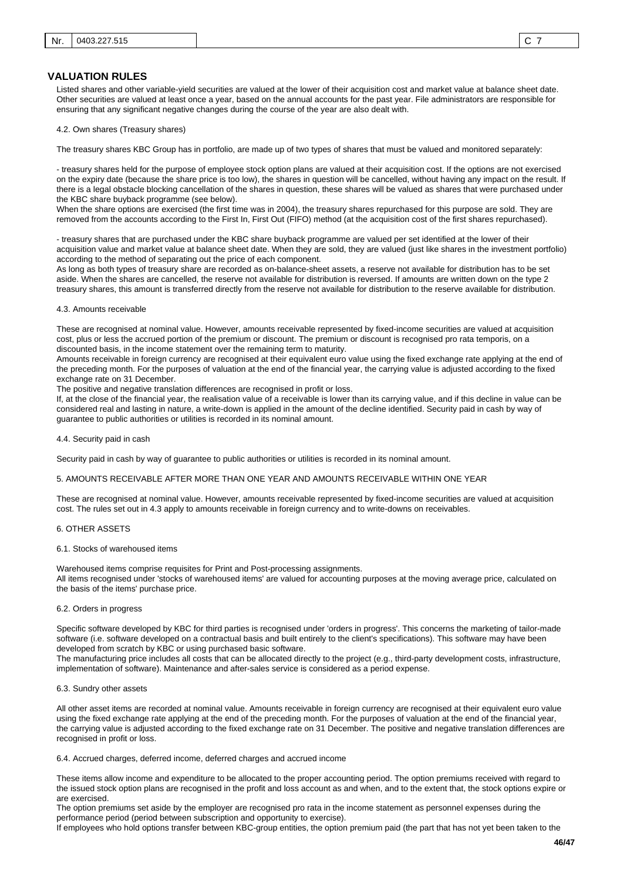Listed shares and other variable-yield securities are valued at the lower of their acquisition cost and market value at balance sheet date. Other securities are valued at least once a year, based on the annual accounts for the past year. File administrators are responsible for ensuring that any significant negative changes during the course of the year are also dealt with.

4.2. Own shares (Treasury shares)

The treasury shares KBC Group has in portfolio, are made up of two types of shares that must be valued and monitored separately:

- treasury shares held for the purpose of employee stock option plans are valued at their acquisition cost. If the options are not exercised on the expiry date (because the share price is too low), the shares in question will be cancelled, without having any impact on the result. If there is a legal obstacle blocking cancellation of the shares in question, these shares will be valued as shares that were purchased under the KBC share buyback programme (see below).

When the share options are exercised (the first time was in 2004), the treasury shares repurchased for this purpose are sold. They are removed from the accounts according to the First In, First Out (FIFO) method (at the acquisition cost of the first shares repurchased).

- treasury shares that are purchased under the KBC share buyback programme are valued per set identified at the lower of their acquisition value and market value at balance sheet date. When they are sold, they are valued (just like shares in the investment portfolio) according to the method of separating out the price of each component.

As long as both types of treasury share are recorded as on-balance-sheet assets, a reserve not available for distribution has to be set aside. When the shares are cancelled, the reserve not available for distribution is reversed. If amounts are written down on the type 2 treasury shares, this amount is transferred directly from the reserve not available for distribution to the reserve available for distribution.

#### 4.3. Amounts receivable

These are recognised at nominal value. However, amounts receivable represented by fixed-income securities are valued at acquisition cost, plus or less the accrued portion of the premium or discount. The premium or discount is recognised pro rata temporis, on a discounted basis, in the income statement over the remaining term to maturity.

Amounts receivable in foreign currency are recognised at their equivalent euro value using the fixed exchange rate applying at the end of the preceding month. For the purposes of valuation at the end of the financial year, the carrying value is adjusted according to the fixed exchange rate on 31 December.

The positive and negative translation differences are recognised in profit or loss.

If, at the close of the financial year, the realisation value of a receivable is lower than its carrying value, and if this decline in value can be considered real and lasting in nature, a write-down is applied in the amount of the decline identified. Security paid in cash by way of guarantee to public authorities or utilities is recorded in its nominal amount.

4.4. Security paid in cash

Security paid in cash by way of guarantee to public authorities or utilities is recorded in its nominal amount.

#### 5. AMOUNTS RECEIVABLE AFTER MORE THAN ONE YEAR AND AMOUNTS RECEIVABLE WITHIN ONE YEAR

These are recognised at nominal value. However, amounts receivable represented by fixed-income securities are valued at acquisition cost. The rules set out in 4.3 apply to amounts receivable in foreign currency and to write-downs on receivables.

#### 6. OTHER ASSETS

#### 6.1. Stocks of warehoused items

Warehoused items comprise requisites for Print and Post-processing assignments. All items recognised under 'stocks of warehoused items' are valued for accounting purposes at the moving average price, calculated on the basis of the items' purchase price.

#### 6.2. Orders in progress

Specific software developed by KBC for third parties is recognised under 'orders in progress'. This concerns the marketing of tailor-made software (i.e. software developed on a contractual basis and built entirely to the client's specifications). This software may have been developed from scratch by KBC or using purchased basic software.

The manufacturing price includes all costs that can be allocated directly to the project (e.g., third-party development costs, infrastructure, implementation of software). Maintenance and after-sales service is considered as a period expense.

#### 6.3. Sundry other assets

All other asset items are recorded at nominal value. Amounts receivable in foreign currency are recognised at their equivalent euro value using the fixed exchange rate applying at the end of the preceding month. For the purposes of valuation at the end of the financial year, the carrying value is adjusted according to the fixed exchange rate on 31 December. The positive and negative translation differences are recognised in profit or loss.

6.4. Accrued charges, deferred income, deferred charges and accrued income

These items allow income and expenditure to be allocated to the proper accounting period. The option premiums received with regard to the issued stock option plans are recognised in the profit and loss account as and when, and to the extent that, the stock options expire or are exercised.

The option premiums set aside by the employer are recognised pro rata in the income statement as personnel expenses during the performance period (period between subscription and opportunity to exercise).

If employees who hold options transfer between KBC-group entities, the option premium paid (the part that has not yet been taken to the